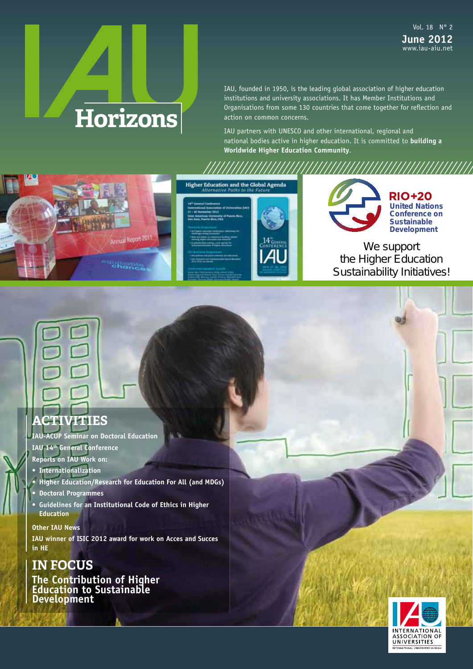# **Horizons**

IAU, founded in 1950, is the leading global association of higher education institutions and university associations. It has Member Institutions and Organisations from some 130 countries that come together for reflection and action on common concerns.

IAU partners with UNESCO and other international, regional and national bodies active in higher education. It is committed to **building a Worldwide Higher Education Community**.







//////////////////////////////////////////////////////////////

**RIO+20 United Nations Conference on Sustainable Development**

We support the Higher Education Sustainability Initiatives!

## **ACTIVITIES**

**IAU-ACUP Seminar on Doctoral Education IAU 14th General Conference** 

- **Reports on IAU Work on:**
- **Internationalization**
- **Higher Education/Research for Education For All (and MDGs)**
- **Doctoral Programmes**
- **Guidelines for an Institutional Code of Ethics in Higher Education**

**Other IAU News IAU winner of ISIC 2012 award for work on Acces and Succes in HE**

## **IN FOCUS**

**The Contribution of Higher Education to Sustainable Development** 

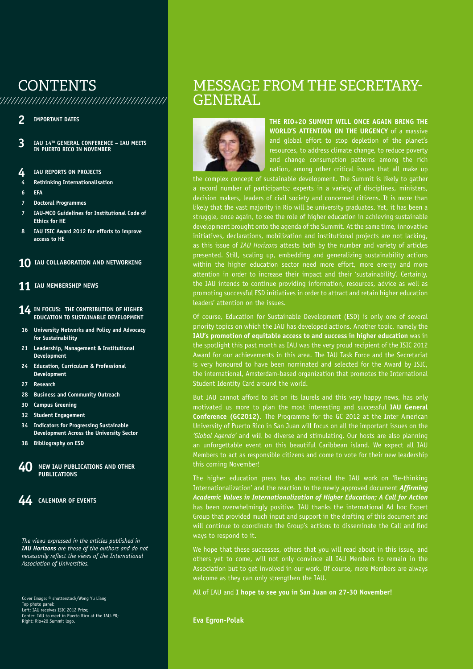## **CONTENTS**

/////////////////////////////////////////////////////

/////////////////////////////////////////////////////////////

- **2 IMPORTANT DATES**
- **3 IAU 14TH GENERAl CONFERENCE IAU MEETS IN PUERTO RICO IN NOvEMbER**
- **4 IAU REPORTS ON PROJECTS**
- **4 Rethinking Internationalisation**
- **6 EFA**
- **7 Doctoral Programmes**
- **7 IAU-MCO Guidelines for Institutional Code of Ethics for HE**
- **8 IAU ISIC Award 2012 for efforts to improve access to HE**
- **10** IAU COLLABORATION AND NETWORKING
- **11 IAU MEMbERSHIP NEWS**
- **14 IN FOCUS: THE CONTRIbUTION OF HIGHER EDUCATION TO SUSTAINAblE DEvElOPMENT**
- **16 University Networks and Policy and Advocacy for Sustainability**
- **21 leadership, Management & Institutional Development**
- **24 Education, Curriculum & Professional Development**
- **27 Research**
- **28 business and Community Outreach**
- **30 Campus Greening**
- **32 Student Engagement**
- **34 Indicators for Progressing Sustainable Development Across the University Sector**
- **38 bibliography on ESD**
- **40 NEW IAU PUblICATIONS AND OTHER PURLICATIONS**



*The views expressed in the articles published in IAU Horizons are those of the authors and do not necessarily reflect the views of the International Association of Universities.*

Cover Image: © shutterstock/Wong Yu Liang Top photo panel: Left: IAU receives ISIC 2012 Prize; Center: IAU to meet in Puerto Rico at the IAU-PR; Right: Rio+20 Summit logo.

## MESSAGE FROM THE SECRETARY-GENERAL



**THE RIO+20 SUMMIT WIll ONCE AGAIN bRING THE WORlD'S ATTENTION ON THE URGENCy** of a massive and global effort to stop depletion of the planet's resources, to address climate change, to reduce poverty and change consumption patterns among the rich nation, among other critical issues that all make up

the complex concept of sustainable development. The Summit is likely to gather a record number of participants; experts in a variety of disciplines, ministers, decision makers, leaders of civil society and concerned citizens. It is more than likely that the vast majority in Rio will be university graduates. Yet, it has been a struggle, once again, to see the role of higher education in achieving sustainable development brought onto the agenda of the Summit. At the same time, innovative initiatives, declarations, mobilization and institutional projects are not lacking, as this issue of *IAU Horizons* attests both by the number and variety of articles presented. Still, scaling up, embedding and generalizing sustainability actions within the higher education sector need more effort, more energy and more attention in order to increase their impact and their 'sustainability'. Certainly, the IAU intends to continue providing information, resources, advice as well as promoting successful ESD initiatives in order to attract and retain higher education leaders' attention on the issues.

Of course, Education for Sustainable Development (ESD) is only one of several priority topics on which the IAU has developed actions. Another topic, namely the **IAU's promotion of equitable access to and success in higher education** was in the spotlight this past month as IAU was the very proud recipient of the ISIC 2012 Award for our achievements in this area. The IAU Task Force and the Secretariat is very honoured to have been nominated and selected for the Award by ISIC, the international, Amsterdam-based organization that promotes the International Student Identity Card around the world.

But IAU cannot afford to sit on its laurels and this very happy news, has only motivated us more to plan the most interesting and successful **IAU General Conference (GC2012)**. The Programme for the GC 2012 at the Inter American University of Puerto Rico in San Juan will focus on all the important issues on the *'Global Agenda'* and will be diverse and stimulating. Our hosts are also planning an unforgettable event on this beautiful Caribbean island. We expect all IAU Members to act as responsible citizens and come to vote for their new leadership this coming November!

The higher education press has also noticed the IAU work on 'Re-thinking Internationalization' and the reaction to the newly approved document *Affirming Academic Values in Internationalization of Higher Education; A Call for Action* has been overwhelmingly positive. IAU thanks the international Ad hoc Expert Group that provided much input and support in the drafting of this document and will continue to coordinate the Group's actions to disseminate the Call and find ways to respond to it.

We hope that these successes, others that you will read about in this issue, and others yet to come, will not only convince all IAU Members to remain in the Association but to get involved in our work. Of course, more Members are always welcome as they can only strengthen the IAU.

All of IAU and **I hope to see you in San Juan on 27-30 November!**

**Eva Egron-Polak**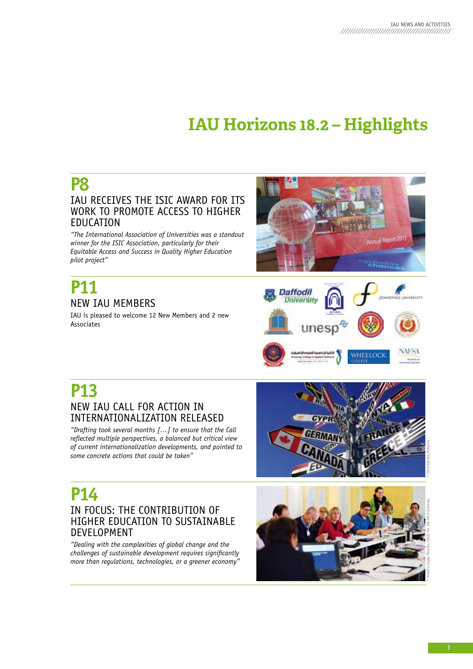## **IAU Horizons 18.2 – Highlights**

## **P8**

## IAU RECEIVES ThE ISIC AWARD FOR ITS WORk TO PROMOTE ACCESS TO hIGhER EDUCATION

*"The International Association of Universities was a standout winner for the ISIC Association, particularly for their Equitable Access and Success in Quality Higher Education pilot project"*

## **P11**  NEW IAU MEMBERS

IAU is pleased to welcome 12 New Members and 2 new Associates





## **P13** NEW IAU CALL FOR ACTION IN INTERNATIONALIzATION RELEASED

*"Drafting took several months […] to ensure that the Call reflected multiple perspectives, a balanced but critical view of current internationalization developments, and pointed to some concrete actions that could be taken"*



## **P14** IN FOCUS: ThE CONTRIBUTION OF hIGhER EDUCATION TO SUSTAINABLE DEVELOPMENT

*"Dealing with the complexities of global change and the challenges of sustainable development requires significantly more than regulations, technologies, or a greener economy"*

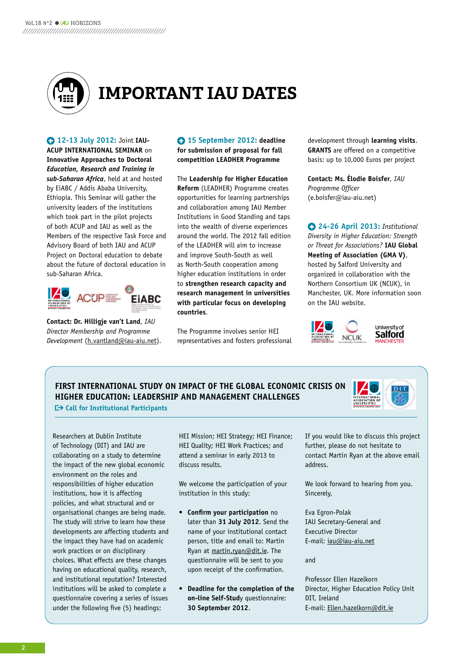

## **ImpOrTANT IAU DATES**

**12-13 July 2012:** Joint **IAU-ACUP INTERNATIONAl SEMINAR** on **Innovative Approaches to Doctoral** *Education, Research and Training in sub-Saharan Africa*, held at and hosted by EiABC / Addis Ababa University, Ethiopia. This Seminar will gather the university leaders of the institutions which took part in the pilot projects of both ACUP and IAU as well as the Members of the respective Task Force and Advisory Board of both IAU and ACUP Project on Doctoral education to debate about the future of doctoral education in sub-Saharan Africa.



**Contact: Dr. Hilligje van't land**, *IAU Director Membership and Programme Development* (h.vantland@iau-aiu.net).

 **15 September 2012: deadline for submission of proposal for fall competition lEADHER Programme**

The **leadership for Higher Education Reform** (LEADhER) Programme creates opportunities for learning partnerships and collaboration among IAU Member Institutions in Good Standing and taps into the wealth of diverse experiences around the world. The 2012 fall edition of the LEADhER will aim to increase and improve South-South as well as North-South cooperation among higher education institutions in order to **strengthen research capacity and research management in universities with particular focus on developing countries**.

The Programme involves senior hEI representatives and fosters professional development through **learning visits**. **GRANTS** are offered on a competitive basis: up to 10,000 Euros per project

**Contact: Ms. Élodie boisfer**, *IAU Programme Officer* (e.boisfer@iau-aiu.net)

**24-26 April 2013:** *Institutional Diversity in Higher Education: Strength or Threat for Associations?* **IAU Global Meeting of Association (GMA v)**, hosted by Salford University and organized in collaboration with the Northern Consortium Uk (NCUk), in Manchester, Uk. More information soon on the IAU website.



**FIRST INTERNATIONAl STUDy ON IMPACT OF THE GlObAl ECONOMIC CRISIS ON HIGHER EDUCATION: lEADERSHIP AND MANAGEMENT CHAllENGES Call for Institutional Participants** 



Researchers at Dublin Institute of Technology (DIT) and IAU are collaborating on a study to determine the impact of the new global economic environment on the roles and responsibilities of higher education institutions, how it is affecting policies, and what structural and or organisational changes are being made. The study will strive to learn how these developments are affecting students and the impact they have had on academic work practices or on disciplinary choices. What effects are these changes having on educational quality, research, and institutional reputation? Interested institutions will be asked to complete a questionnaire covering a series of issues under the following five (5) headings:

hEI Mission; hEI Strategy; hEI Finance; hEI Quality; hEI Work Practices; and attend a seminar in early 2013 to discuss results.

We welcome the participation of your institution in this study:

- **Confirm your participation** no later than **31 July 2012**. Send the name of your institutional contact person, title and email to: Martin Ryan at martin.ryan@dit.ie. The questionnaire will be sent to you upon receipt of the confirmation.
- **Deadline for the completion of the on-line Self-Stud**y questionnaire: **30 September 2012**.

If you would like to discuss this project further, please do not hesitate to contact Martin Ryan at the above email address.

We look forward to hearing from you. Sincerely,

Eva Egron-Polak IAU Secretary-General and Executive Director E-mail: iau@iau-aiu.net

and

Professor Ellen hazelkorn Director, higher Education Policy Unit DIT, Ireland E-mail: Ellen.hazelkorn@dit.ie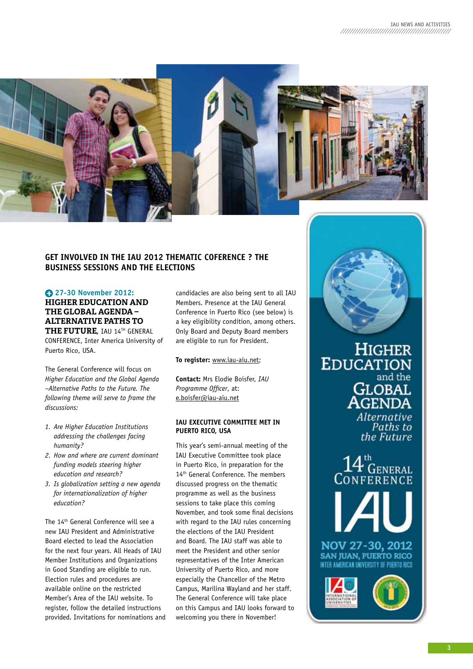

### **GET INvOlvED IN THE IAU 2012 THEMATIC COFERENCE ? THE bUSINESS SESSIONS AND THE ElECTIONS**

### **27-30 November 2012:**

**HIgHEr EDUCATION AND THE glObAl AgENDA – AlTErNATIVE pATHS TO THE FUTUrE***,* IAU 14Th GENERAL CONFERENCE, Inter America University of Puerto Rico, USA.

The General Conference will focus on *Higher Education and the Global Agenda –Alternative Paths to the Future. The following theme will serve to frame the discussions:* 

- *1. Are Higher Education Institutions addressing the challenges facing humanity?*
- *2. How and where are current dominant funding models steering higher education and research?*
- *3. Is globalization setting a new agenda for internationalization of higher education?*

The 14th General Conference will see a new IAU President and Administrative Board elected to lead the Association for the next four years. All Heads of IAU Member Institutions and Organizations in Good Standing are eligible to run. Election rules and procedures are available online on the restricted Member's Area of the IAU website. To register, follow the detailed instructions provided. Invitations for nominations and candidacies are also being sent to all IAU Members. Presence at the IAU General Conference in Puerto Rico (see below) is a key eligibility condition, among others. Only Board and Deputy Board members are eligible to run for President.

### **To register:** www.iau-aiu.net;

**Contact:** Mrs Elodie Boisfer, *IAU Programme Officer*, at: e.boisfer@iau-aiu.net

### **IAU ExECUTIvE COMMITTEE MET IN PUERTO RICO, USA**

This year's semi-annual meeting of the IAU Executive Committee took place in Puerto Rico, in preparation for the 14<sup>th</sup> General Conference. The members discussed progress on the thematic programme as well as the business sessions to take place this coming November, and took some final decisions with regard to the IAU rules concerning the elections of the IAU President and Board. The IAU staff was able to meet the President and other senior representatives of the Inter American University of Puerto Rico, and more especially the Chancellor of the Metro Campus, Marilina Wayland and her staff. The General Conference will take place on this Campus and IAU looks forward to welcoming you there in November!



**HIGHER EDUCATION** and the **GLOBAL**<br>**AGENDA** Alternative Paths to the Future

FENERAL ERENC NOV 27-30, 2012

SAN JUAN, PUERTO RICO MERICAN UNIVERSITY OF PUFRTO



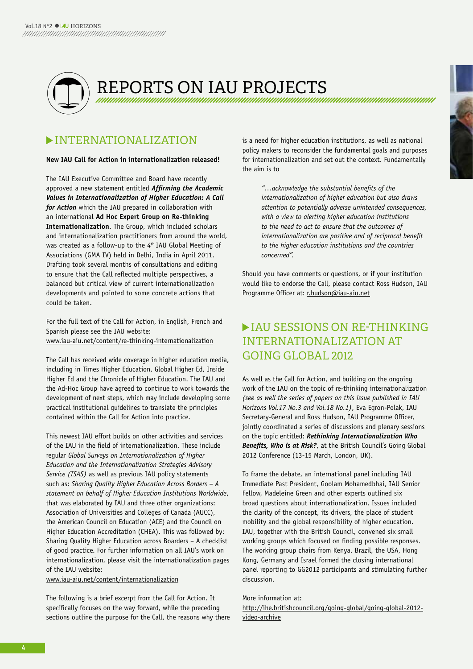

REPORTS ON IAU PROJECTS<br>http://www.com/www.com/www.com/www.com/www.com/www.com/www.com/www.com/www.com/ww

## INTERNATIONALIZATION

### **New IAU Call for Action in internationalization released!**

The IAU Executive Committee and Board have recently approved a new statement entitled *Affirming the Academic Values in Internationalization of Higher Education: A Call for Action* which the IAU prepared in collaboration with an international **Ad Hoc Expert Group on Re-thinking Internationalization**. The Group, which included scholars and internationalization practitioners from around the world, was created as a follow-up to the 4<sup>th</sup> IAU Global Meeting of Associations (GMA IV) held in Delhi, India in April 2011. Drafting took several months of consultations and editing to ensure that the Call reflected multiple perspectives, a balanced but critical view of current internationalization developments and pointed to some concrete actions that could be taken.

For the full text of the Call for Action, in English, French and Spanish please see the IAU website: www.iau-aiu.net/content/re-thinking-internationalization

The Call has received wide coverage in higher education media, including in Times Higher Education, Global Higher Ed, Inside higher Ed and the Chronicle of higher Education. The IAU and the Ad-hoc Group have agreed to continue to work towards the development of next steps, which may include developing some practical institutional guidelines to translate the principles contained within the Call for Action into practice.

This newest IAU effort builds on other activities and services of the IAU in the field of internationalization. These include regular *Global Surveys on Internationalization of Higher Education and the Internationalization Strategies Advisory Service (ISAS)* as well as previous IAU policy statements such as: *Sharing Quality Higher Education Across Borders – A statement on behalf of Higher Education Institutions Worldwide*, that was elaborated by IAU and three other organizations: Association of Universities and Colleges of Canada (AUCC), the American Council on Education (ACE) and the Council on higher Education Accreditation (ChEA). This was followed by: Sharing Quality higher Education across Boarders – A checklist of good practice. For further information on all IAU's work on internationalization, please visit the internationalization pages of the IAU website:

www.iau-aiu.net/content/internationalization

The following is a brief excerpt from the Call for Action. It specifically focuses on the way forward, while the preceding sections outline the purpose for the Call, the reasons why there is a need for higher education institutions, as well as national policy makers to reconsider the fundamental goals and purposes for internationalization and set out the context. Fundamentally the aim is to

> *"…acknowledge the substantial benefits of the internationalization of higher education but also draws attention to potentially adverse unintended consequences, with a view to alerting higher education institutions to the need to act to ensure that the outcomes of internationalization are positive and of reciprocal benefit to the higher education institutions and the countries concerned".*

Should you have comments or questions, or if your institution would like to endorse the Call, please contact Ross hudson, IAU Programme Officer at: r.hudson@iau-aiu.net

## IAU SESSIONS ON RE-THINkING INTERNATIONALIZATION AT GOING GLObAL 2012

As well as the Call for Action, and building on the ongoing work of the IAU on the topic of re-thinking internationalization *(see as well the series of papers on this issue published in IAU Horizons Vol.17 No.3 and Vol.18 No.1)*, Eva Egron-Polak, IAU Secretary-General and Ross hudson, IAU Programme Officer, jointly coordinated a series of discussions and plenary sessions on the topic entitled: *Rethinking Internationalization Who Benefits, Who is at Risk?*, at the British Council's Going Global 2012 Conference (13-15 March, London, Uk).

To frame the debate, an international panel including IAU Immediate Past President, Goolam Mohamedbhai, IAU Senior Fellow, Madeleine Green and other experts outlined six broad questions about internationalization. Issues included the clarity of the concept, its drivers, the place of student mobility and the global responsibility of higher education. IAU, together with the British Council, convened six small working groups which focused on finding possible responses. The working group chairs from kenya, Brazil, the USA, hong kong, Germany and Israel formed the closing international panel reporting to GG2012 participants and stimulating further discussion.

### More information at:

http://ihe.britishcouncil.org/going-global/going-global-2012 video-archive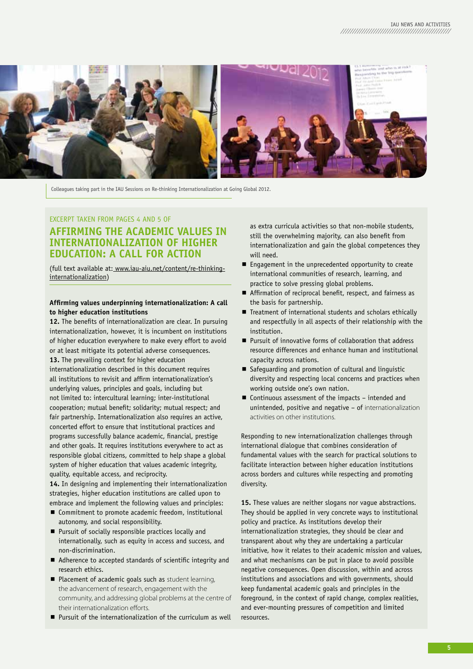

Colleagues taking part in the IAU Sessions on Re-thinking Internationalization at Going Global 2012.

## ExCERPT TAkEN FROM PAGES 4 AND 5 OF **AFFIRMING THE ACADEMIC vAlUES IN INTERNATIONAlIzATION OF HIGHER EDUCATION: A CAll FOR ACTION**

(full text available at: www.iau-aiu.net/content/re-thinkinginternationalization)

### **Affirming values underpinning internationalization: A call to higher education institutions**

**12.** The benefits of internationalization are clear. In pursuing internationalization, however, it is incumbent on institutions of higher education everywhere to make every effort to avoid or at least mitigate its potential adverse consequences. 13. The prevailing context for higher education internationalization described in this document requires all institutions to revisit and affirm internationalization's underlying values, principles and goals, including but not limited to: intercultural learning; inter-institutional cooperation; mutual benefit; solidarity; mutual respect; and fair partnership. Internationalization also requires an active, concerted effort to ensure that institutional practices and programs successfully balance academic, financial, prestige and other goals. It requires institutions everywhere to act as responsible global citizens, committed to help shape a global system of higher education that values academic integrity, quality, equitable access, and reciprocity.

14. In designing and implementing their internationalization strategies, higher education institutions are called upon to embrace and implement the following values and principles:

- Commitment to promote academic freedom, institutional autonomy, and social responsibility.
- **Pursuit of socially responsible practices locally and** internationally, such as equity in access and success, and non-discrimination.
- Adherence to accepted standards of scientific integrity and research ethics.
- Placement of academic goals such as student learning. the advancement of research, engagement with the community, and addressing global problems at the centre of their internationalization efforts.
- Pursuit of the internationalization of the curriculum as well

as extra curricula activities so that non-mobile students, still the overwhelming majority, can also benefit from internationalization and gain the global competences they will need.

- Engagement in the unprecedented opportunity to create international communities of research, learning, and practice to solve pressing global problems.
- Affirmation of reciprocal benefit, respect, and fairness as the basis for partnership.
- Treatment of international students and scholars ethically and respectfully in all aspects of their relationship with the institution.
- **Pursuit of innovative forms of collaboration that address** resource differences and enhance human and institutional capacity across nations.
- Safeguarding and promotion of cultural and linguistic diversity and respecting local concerns and practices when working outside one's own nation.
- Continuous assessment of the impacts intended and unintended, positive and negative – of internationalization activities on other institutions.

Responding to new internationalization challenges through international dialogue that combines consideration of fundamental values with the search for practical solutions to facilitate interaction between higher education institutions across borders and cultures while respecting and promoting diversity.

**15.** These values are neither slogans nor vague abstractions. They should be applied in very concrete ways to institutional policy and practice. As institutions develop their internationalization strategies, they should be clear and transparent about why they are undertaking a particular initiative, how it relates to their academic mission and values, and what mechanisms can be put in place to avoid possible negative consequences. Open discussion, within and across institutions and associations and with governments, should keep fundamental academic goals and principles in the foreground, in the context of rapid change, complex realities, and ever-mounting pressures of competition and limited resources.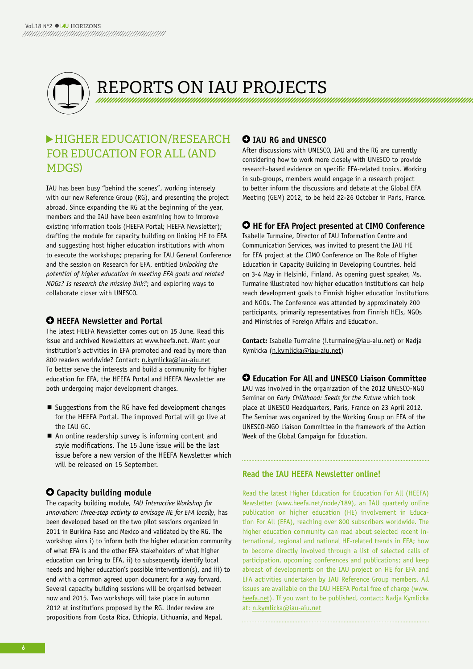

## HIGHER EdUCATION/RESEARCH FOR EDUCATION FOR ALL (AND MDGS)

IAU has been busy "behind the scenes", working intensely with our new Reference Group (RG), and presenting the project abroad. Since expanding the RG at the beginning of the year, members and the IAU have been examining how to improve existing information tools (hEEFA Portal; hEEFA Newsletter); drafting the module for capacity building on linking hE to EFA and suggesting host higher education institutions with whom to execute the workshops; preparing for IAU General Conference and the session on Research for EFA, entitled *Unlocking the potential of higher education in meeting EFA goals and related MDGs? Is research the missing link?*; and exploring ways to collaborate closer with UNESCO.

## $\Theta$  **HEEFA Newsletter and Portal**

The latest hEEFA Newsletter comes out on 15 June. Read this issue and archived Newsletters at www.heefa.net. Want your institution's activities in EFA promoted and read by more than 800 readers worldwide? Contact: n.kymlicka@iau-aiu.net To better serve the interests and build a community for higher education for EFA, the hEEFA Portal and hEEFA Newsletter are both undergoing major development changes.

- Suggestions from the RG have fed development changes for the hEEFA Portal. The improved Portal will go live at the IAU GC.
- An online readership survey is informing content and style modifications. The 15 June issue will be the last issue before a new version of the hEEFA Newsletter which will be released on 15 September.

## **Capacity building module**

The capacity building module, *IAU Interactive Workshop for Innovation: Three-step activity to envisage HE for EFA locally*, has been developed based on the two pilot sessions organized in 2011 in Burkina Faso and Mexico and validated by the RG. The workshop aims i) to inform both the higher education community of what EFA is and the other EFA stakeholders of what higher education can bring to EFA, ii) to subsequently identify local needs and higher education's possible intervention(s), and iii) to end with a common agreed upon document for a way forward. Several capacity building sessions will be organised between now and 2015. Two workshops will take place in autumn 2012 at institutions proposed by the RG. Under review are propositions from Costa Rica, Ethiopia, Lithuania, and Nepal.

## **IAU RG and UNESCO**

After discussions with UNESCO, IAU and the RG are currently considering how to work more closely with UNESCO to provide research-based evidence on specific EFA-related topics. Working in sub-groups, members would engage in a research project to better inform the discussions and debate at the Global EFA Meeting (GEM) 2012, to be held 22-26 October in Paris, France.

## **HE for EFA Project presented at CIMO Conference**

Isabelle Turmaine, Director of IAU Information Centre and Communication Services, was invited to present the IAU hE for EFA project at the CIMO Conference on The Role of higher Education in Capacity Building in Developing Countries, held on 3-4 May in helsinki, Finland. As opening guest speaker, Ms. Turmaine illustrated how higher education institutions can help reach development goals to Finnish higher education institutions and NGOs. The Conference was attended by approximately 200 participants, primarily representatives from Finnish hEIs, NGOs and Ministries of Foreign Affairs and Education.

**Contact:** Isabelle Turmaine (i.turmaine@iau-aiu.net) or Nadja kymlicka (n.kymlicka@iau-aiu.net)

## **Education For All and UNESCO liaison Committee**

IAU was involved in the organization of the 2012 UNESCO-NGO Seminar on *Early Childhood: Seeds for the Future* which took place at UNESCO headquarters, Paris, France on 23 April 2012. The Seminar was organized by the Working Group on EFA of the UNESCO-NGO Liaison Committee in the framework of the Action Week of the Global Campaign for Education.

### **Read the IAU HEEFA Newsletter online!**

Read the latest higher Education for Education For All (hEEFA) Newsletter (www.heefa.net/node/189), an IAU quarterly online publication on higher education (hE) involvement in Education For All (EFA), reaching over 800 subscribers worldwide. The higher education community can read about selected recent international, regional and national hE-related trends in EFA; how to become directly involved through a list of selected calls of participation, upcoming conferences and publications; and keep abreast of developments on the IAU project on hE for EFA and EFA activities undertaken by IAU Reference Group members. All issues are available on the IAU hEEFA Portal free of charge (www. heefa.net). If you want to be published, contact: Nadja kymlicka at: n.kymlicka@iau-aiu.net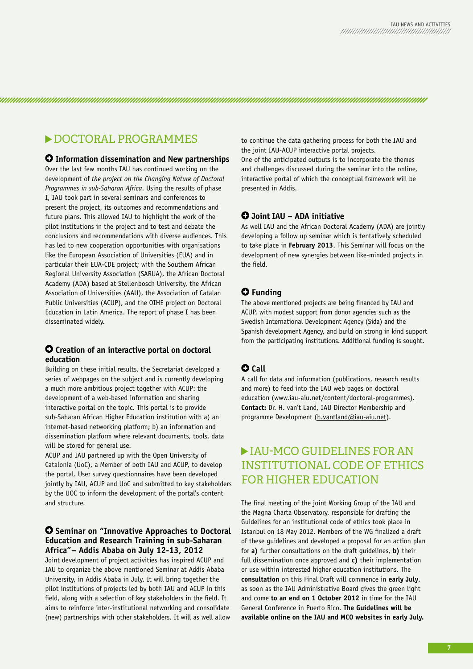## $\triangleright$  DOCTORAL PROGRAMMES

### **Information dissemination and New partnerships**

Over the last few months IAU has continued working on the development of *the project on the Changing Nature of Doctoral Programmes in sub-Saharan Africa*. Using the results of phase I, IAU took part in several seminars and conferences to present the project, its outcomes and recommendations and future plans. This allowed IAU to highlight the work of the pilot institutions in the project and to test and debate the conclusions and recommendations with diverse audiences. This has led to new cooperation opportunities with organisations like the European Association of Universities (EUA) and in particular their EUA-CDE project; with the Southern African Regional University Association (SARUA), the African Doctoral Academy (ADA) based at Stellenbosch University, the African Association of Universities (AAU), the Association of Catalan Public Universities (ACUP), and the OIhE project on Doctoral Education in Latin America. The report of phase I has been disseminated widely.

### **Creation of an interactive portal on doctoral education**

Building on these initial results, the Secretariat developed a series of webpages on the subject and is currently developing a much more ambitious project together with ACUP: the development of a web-based information and sharing interactive portal on the topic. This portal is to provide sub-Saharan African higher Education institution with a) an internet-based networking platform; b) an information and dissemination platform where relevant documents, tools, data will be stored for general use.

ACUP and IAU partnered up with the Open University of Catalonia (UoC), a Member of both IAU and ACUP, to develop the portal. User survey questionnaires have been developed jointly by IAU, ACUP and UoC and submitted to key stakeholders by the UOC to inform the development of the portal's content and structure.

### **Seminar on "Innovative Approaches to Doctoral Education and Research Training in sub-Saharan Africa"– Addis Ababa on July 12-13, 2012**

Joint development of project activities has inspired ACUP and IAU to organize the above mentioned Seminar at Addis Ababa University, in Addis Ababa in July. It will bring together the pilot institutions of projects led by both IAU and ACUP in this field, along with a selection of key stakeholders in the field. It aims to reinforce inter-institutional networking and consolidate (new) partnerships with other stakeholders. It will as well allow to continue the data gathering process for both the IAU and the joint IAU-ACUP interactive portal projects.

One of the anticipated outputs is to incorporate the themes and challenges discussed during the seminar into the online, interactive portal of which the conceptual framework will be presented in Addis.

### **Joint IAU – ADA initiative**

As well IAU and the African Doctoral Academy (ADA) are jointly developing a follow up seminar which is tentatively scheduled to take place in **February 2013**. This Seminar will focus on the development of new synergies between like-minded projects in the field.

### **Funding**

The above mentioned projects are being financed by IAU and ACUP, with modest support from donor agencies such as the Swedish International Development Agency (Sida) and the Spanish development Agency, and build on strong in kind support from the participating institutions. Additional funding is sought.

## **Call**

A call for data and information (publications, research results and more) to feed into the IAU web pages on doctoral education (www.iau-aiu.net/content/doctoral-programmes). **Contact:** Dr. h. van't Land, IAU Director Membership and programme Development (h.vantland@iau-aiu.net).

## IAU-MCO GUIdELINES FOR AN INSTITUTIONAL COdE OF ETHICS FOR HIGHER EdUCATION

The final meeting of the joint Working Group of the IAU and the Magna Charta Observatory, responsible for drafting the Guidelines for an institutional code of ethics took place in Istanbul on 18 May 2012. Members of the WG finalized a draft of these guidelines and developed a proposal for an action plan for **a)** further consultations on the draft guidelines, **b)** their full dissemination once approved and **c)** their implementation or use within interested higher education institutions. The **consultation** on this Final Draft will commence in **early July**, as soon as the IAU Administrative Board gives the green light and come **to an end on 1 October 2012** in time for the IAU General Conference in Puerto Rico. **The Guidelines will be available online on the IAU and MCO websites in early July.**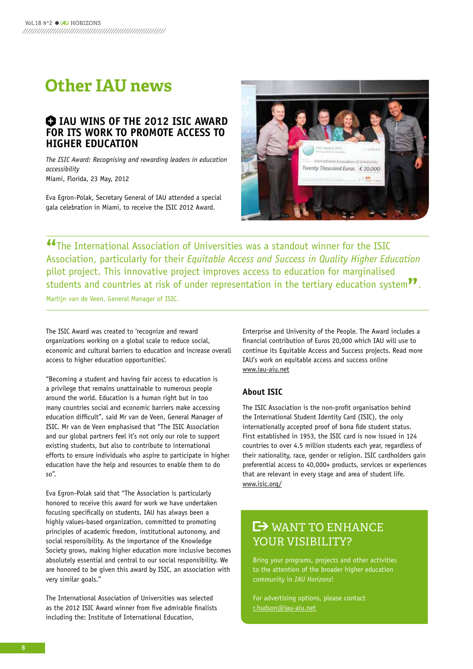## **Other IAU news**

## $\bullet$  **IAU WINS OF THE 2012 ISIC AWARD FOR ITS WORk TO PROMOTE ACCESS TO HIGHER EDUCATION**

*The ISIC Award: Recognising and rewarding leaders in education accessibility* Miami, Florida, 23 May, 2012

Eva Egron-Polak, Secretary General of IAU attended a special gala celebration in Miami, to receive the ISIC 2012 Award.



**"The International Association of Universities was a standout winner for the ISIC**<br>Association, particularly for their *Equitable Access and Success in Quality Higher Edu* Association, particularly for their *Equitable Access and Success in Quality Higher Education* pilot project. This innovative project improves access to education for marginalised students and countries at risk of under representation in the tertiary education system<sup>??</sup>.<br>Martijn van de Veen, General Manager of ISIC.

Martijn van de Veen, General Manager of ISIC.

The ISIC Award was created to 'recognize and reward organizations working on a global scale to reduce social, economic and cultural barriers to education and increase overall access to higher education opportunities'.

"Becoming a student and having fair access to education is a privilege that remains unattainable to numerous people around the world. Education is a human right but in too many countries social and economic barriers make accessing education difficult", said Mr van de Veen, General Manager of ISIC. Mr van de Veen emphasised that "The ISIC Association and our global partners feel it's not only our role to support existing students, but also to contribute to international efforts to ensure individuals who aspire to participate in higher education have the help and resources to enable them to do so".

Eva Egron-Polak said that "The Association is particularly honored to receive this award for work we have undertaken focusing specifically on students. IAU has always been a highly values-based organization, committed to promoting principles of academic freedom, institutional autonomy, and social responsibility. As the importance of the knowledge Society grows, making higher education more inclusive becomes absolutely essential and central to our social responsibility. We are honored to be given this award by ISIC, an association with very similar goals."

The International Association of Universities was selected as the 2012 ISIC Award winner from five admirable finalists including the: Institute of International Education,

Enterprise and University of the People. The Award includes a financial contribution of Euros 20,000 which IAU will use to continue its Equitable Access and Success projects. Read more IAU's work on equitable access and success online www.iau-aiu.net

## **About ISIC**

The ISIC Association is the non-profit organisation behind the International Student Identity Card (ISIC), the only internationally accepted proof of bona fide student status. First established in 1953, the ISIC card is now issued in 124 countries to over 4.5 million students each year, regardless of their nationality, race, gender or religion. ISIC cardholders gain preferential access to 40,000+ products, services or experiences that are relevant in every stage and area of student life. www.isic.org/

## **LES WANT TO ENHANCE** YOUR vISIbILITY?

Bring your programs, projects and other activities to the attention of the broader higher education community in *IAU Horizons*!

For advertising options, please contact r.hudson@iau-aiu.net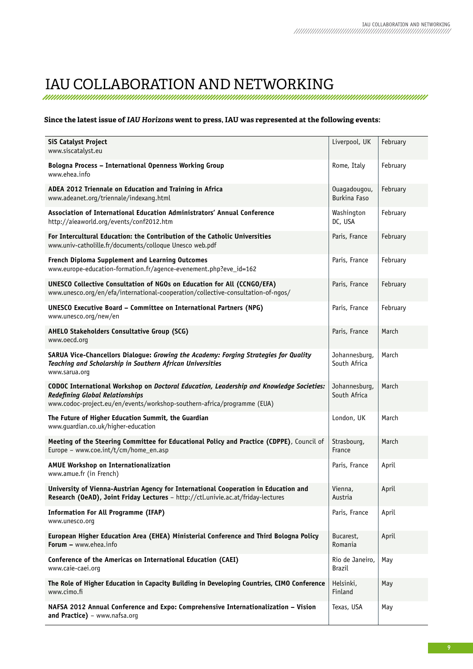## IAU COLLAbORATION ANd NETWORkING

### **Since the latest issue of** *IAU Horizons* **went to press, IAU was represented at the following events:**

| <b>SiS Catalyst Project</b><br>www.siscatalyst.eu                                                                                                                                                            | Liverpool, UK                       | February |
|--------------------------------------------------------------------------------------------------------------------------------------------------------------------------------------------------------------|-------------------------------------|----------|
| <b>Bologna Process - International Openness Working Group</b><br>www.ehea.info                                                                                                                               | Rome, Italy                         | February |
| ADEA 2012 Triennale on Education and Training in Africa<br>www.adeanet.org/triennale/indexang.html                                                                                                           | Ouagadougou,<br><b>Burkina Faso</b> | February |
| Association of International Education Administrators' Annual Conference<br>http://aieaworld.org/events/conf2012.htm                                                                                         | Washington<br>DC, USA               | February |
| For Intercultural Education: the Contribution of the Catholic Universities<br>www.univ-catholille.fr/documents/colloque Unesco web.pdf                                                                       | Paris, France                       | February |
| French Diploma Supplement and Learning Outcomes<br>www.europe-education-formation.fr/agence-evenement.php?eve_id=162                                                                                         | Paris, France                       | February |
| UNESCO Collective Consultation of NGOs on Education for All (CCNGO/EFA)<br>www.unesco.org/en/efa/international-cooperation/collective-consultation-of-ngos/                                                  | Paris, France                       | February |
| <b>UNESCO Executive Board - Committee on International Partners (NPG)</b><br>www.unesco.org/new/en                                                                                                           | Paris, France                       | February |
| AHELO Stakeholders Consultative Group (SCG)<br>www.oecd.org                                                                                                                                                  | Paris, France                       | March    |
| SARUA Vice-Chancellors Dialogue: Growing the Academy: Forging Strategies for Quality<br>Teaching and Scholarship in Southern African Universities<br>www.sarua.org                                           | Johannesburg,<br>South Africa       | March    |
| CODOC International Workshop on Doctoral Education, Leadership and Knowledge Societies:<br><b>Redefining Global Relationships</b><br>www.codoc-project.eu/en/events/workshop-southern-africa/programme (EUA) | Johannesburg,<br>South Africa       | March    |
| The Future of Higher Education Summit, the Guardian<br>www.guardian.co.uk/higher-education                                                                                                                   | London, UK                          | March    |
| Meeting of the Steering Committee for Educational Policy and Practice (CDPPE), Council of<br>Europe - www.coe.int/t/cm/home_en.asp                                                                           | Strasbourg,<br>France               | March    |
| AMUE Workshop on Internationalization<br>www.amue.fr (in French)                                                                                                                                             | Paris, France                       | April    |
| University of Vienna-Austrian Agency for International Cooperation in Education and<br>Research (OeAD), Joint Friday Lectures - http://ctl.univie.ac.at/friday-lectures                                      | Vienna<br>Austria                   | April    |
| <b>Information For All Programme (IFAP)</b><br>www.unesco.org                                                                                                                                                | Paris, France                       | April    |
| European Higher Education Area (EHEA) Ministerial Conference and Third Bologna Policy<br>Forum - www.ehea.info                                                                                               | Bucarest,<br>Romania                | April    |
| Conference of the Americas on International Education (CAEI)<br>www.caie-caei.org                                                                                                                            | Rio de Janeiro,<br>Brazil           | May      |
| The Role of Higher Education in Capacity Building in Developing Countries, CIMO Conference<br>www.cimo.fi                                                                                                    | Helsinki,<br>Finland                | May      |
| NAFSA 2012 Annual Conference and Expo: Comprehensive Internationalization - Vision<br>and Practice) - www.nafsa.org                                                                                          | Texas, USA                          | May      |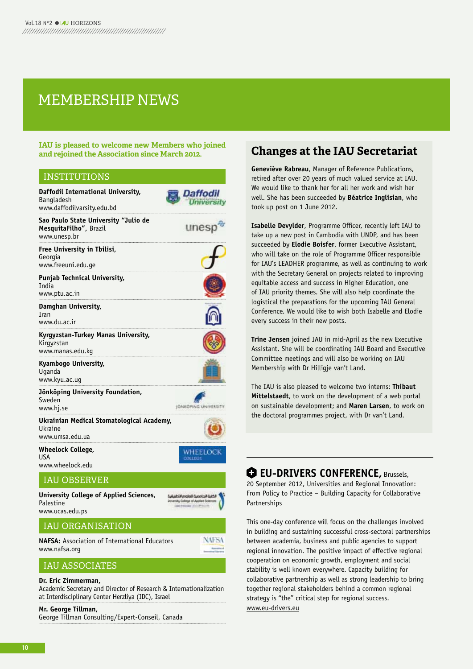## MEMbERSHIp NEWS

**IAU is pleased to welcome new members who joined** 

### INSTITUTIONS

| Daffodil International University,<br>Bangladesh<br>www.daffodilvarsity.edu.bd | Daffodil                                                                  |
|--------------------------------------------------------------------------------|---------------------------------------------------------------------------|
| Sao Paulo State University "Julio de<br>MesquitaFilho", Brazil<br>www.unesp.br | unes                                                                      |
| Free University in Tbilisi,<br>Georgia<br>www.freeuni.edu.ge                   |                                                                           |
| <b>Punjab Technical University,</b><br><b>India</b><br>www.ptu.ac.in           |                                                                           |
| Damghan University,<br><b>Tran</b><br>www.du.ac.ir                             |                                                                           |
| Kyrgyzstan-Turkey Manas University,<br>Kirgyzstan<br>www.manas.edu.kg          |                                                                           |
| Kyambogo University,<br>Uganda<br>www.kyu.ac.ug                                |                                                                           |
| Jönköping University Foundation,<br>Sweden<br>www.hj.se                        | <b>IGNKGFING UNIVERS</b>                                                  |
| Ukrainian Medical Stomatological Academy,<br>Ukraine<br>www.umsa.edu.ua        |                                                                           |
| <b>Wheelock College,</b><br><b>USA</b><br>www.wheelock.edu                     | WHEELOCK<br>COLLEGE                                                       |
| <b>IAU OBSERVER</b>                                                            |                                                                           |
| University College of Applied Sciences,<br>Palestine                           | لكلية الحامصة للعلوم التطييقية<br>Liniversity College of Applied Sciences |

## IAU ORGANISATION

**NAFSA:** Association of International Educators www.nafsa.org

## **NAFSA**

## IAU ASSOCIATES

### **Dr. Eric zimmerman,**

www.ucas.edu.ps

Academic Secretary and Director of Research & Internationalization at Interdisciplinary Center herzliya (IDC), Israel

### **Mr. George Tillman,**

George Tillman Consulting/Expert-Conseil, Canada

## **Changes at the IAU Secretariat**

**Geneviève Rabreau**, Manager of Reference Publications, retired after over 20 years of much valued service at IAU. We would like to thank her for all her work and wish her well. She has been succeeded by **béatrice Inglisian**, who took up post on 1 June 2012.

**Isabelle Devylder**, Programme Officer, recently left IAU to take up a new post in Cambodia with UNDP, and has been succeeded by **Elodie boisfer**, former Executive Assistant, who will take on the role of Programme Officer responsible for IAU's LEADhER programme, as well as continuing to work with the Secretary General on projects related to improving equitable access and success in higher Education, one of IAU priority themes. She will also help coordinate the logistical the preparations for the upcoming IAU General Conference. We would like to wish both Isabelle and Elodie every success in their new posts.

**Trine Jensen** joined IAU in mid-April as the new Executive Assistant. She will be coordinating IAU Board and Executive Committee meetings and will also be working on IAU Membership with Dr Hilligje van't Land.

The IAU is also pleased to welcome two interns: **Thibaut Mittelstaedt**, to work on the development of a web portal on sustainable development; and **Maren larsen**, to work on the doctoral programmes project, with Dr van't Land.

## **+ EU-DRIVERS CONFERENCE, Brussels,**

20 September 2012, Universities and Regional Innovation: From Policy to Practice – Building Capacity for Collaborative Partnerships

This one-day conference will focus on the challenges involved in building and sustaining successful cross-sectoral partnerships between academia, business and public agencies to support regional innovation. The positive impact of effective regional cooperation on economic growth, employment and social stability is well known everywhere. Capacity building for collaborative partnership as well as strong leadership to bring together regional stakeholders behind a common regional strategy is "the" critical step for regional success. www.eu-drivers.eu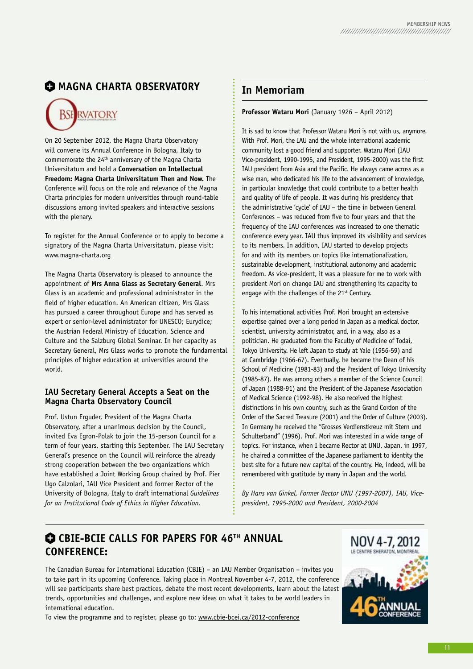## $\bullet$  **MAGNA CHARTA OBSERVATORY**



On 20 September 2012, the Magna Charta Observatory will convene its Annual Conference in Bologna, Italy to commemorate the 24th anniversary of the Magna Charta Universitatum and hold a **Conversation on Intellectual Freedom: Magna Charta Universitatum Then and Now.** The Conference will focus on the role and relevance of the Magna Charta principles for modern universities through round-table discussions among invited speakers and interactive sessions with the plenary.

To register for the Annual Conference or to apply to become a signatory of the Magna Charta Universitatum, please visit: www.magna-charta.org

The Magna Charta Observatory is pleased to announce the appointment of **Mrs Anna Glass as Secretary General**. Mrs Glass is an academic and professional administrator in the field of higher education. An American citizen, Mrs Glass has pursued a career throughout Europe and has served as expert or senior-level administrator for UNESCO; Eurydice; the Austrian Federal Ministry of Education, Science and Culture and the Salzburg Global Seminar. In her capacity as Secretary General, Mrs Glass works to promote the fundamental principles of higher education at universities around the world.

### **IAU Secretary General Accepts a Seat on the Magna Charta Observatory Council**

Prof. Ustun Erguder, President of the Magna Charta Observatory, after a unanimous decision by the Council, invited Eva Egron-Polak to join the 15-person Council for a term of four years, starting this September. The IAU Secretary General's presence on the Council will reinforce the already strong cooperation between the two organizations which have established a Joint Working Group chaired by Prof. Pier Ugo Calzolari, IAU Vice President and former Rector of the University of Bologna, Italy to draft international *Guidelines for an Institutional Code of Ethics in Higher Education*.

## **In Memoriam**

### **Professor Wataru Mori** (January 1926 – April 2012)

It is sad to know that Professor Wataru Mori is not with us, anymore. With Prof. Mori, the IAU and the whole international academic community lost a good friend and supporter. Wataru Mori (IAU Vice-president, 1990-1995, and President, 1995-2000) was the first IAU president from Asia and the Pacific. he always came across as a wise man, who dedicated his life to the advancement of knowledge, in particular knowledge that could contribute to a better health and quality of life of people. It was during his presidency that the administrative 'cycle' of IAU – the time in between General Conferences – was reduced from five to four years and that the frequency of the IAU conferences was increased to one thematic conference every year. IAU thus improved its visibility and services to its members. In addition, IAU started to develop projects for and with its members on topics like internationalization, sustainable development, institutional autonomy and academic freedom. As vice-president, it was a pleasure for me to work with president Mori on change IAU and strengthening its capacity to engage with the challenges of the 21<sup>st</sup> Century.

To his international activities Prof. Mori brought an extensive expertise gained over a long period in Japan as a medical doctor, scientist, university administrator, and, in a way, also as a politician. he graduated from the Faculty of Medicine of Todai, Tokyo University. he left Japan to study at Yale (1956-59) and at Cambridge (1966-67). Eventually, he became the Dean of his School of Medicine (1981-83) and the President of Tokyo University (1985-87). he was among others a member of the Science Council of Japan (1988-91) and the President of the Japanese Association of Medical Science (1992-98). he also received the highest distinctions in his own country, such as the Grand Cordon of the Order of the Sacred Treasure (2001) and the Order of Culture (2003). In Germany he received the "Grosses Verdienstkreuz mit Stern und Schulterband" (1996). Prof. Mori was interested in a wide range of topics. For instance, when I became Rector at UNU, Japan, in 1997, he chaired a committee of the Japanese parliament to identity the best site for a future new capital of the country. he, indeed, will be remembered with gratitude by many in Japan and the world.

*By Hans van Ginkel, Former Rector UNU (1997-2007), IAU, Vicepresident, 1995-2000 and President, 2000-2004*

## $\bullet$  **CBIE-BCIE CALLS FOR PAPERS FOR 46TH ANNUAL CONFERENCE:**

The Canadian Bureau for International Education (CBIE) – an IAU Member Organisation – invites you to take part in its upcoming Conference. Taking place in Montreal November 4-7, 2012, the conference will see participants share best practices, debate the most recent developments, learn about the latest trends, opportunities and challenges, and explore new ideas on what it takes to be world leaders in international education.

To view the programme and to register, please go to: www.cbie-bcei.ca/2012-conference

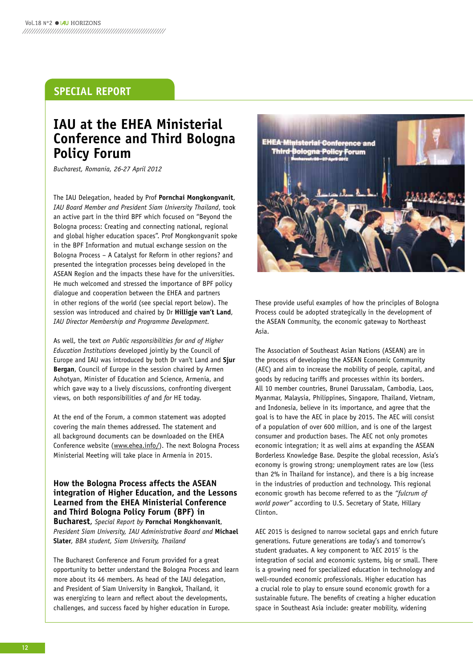## **SPECIAl REPORT**

## **IAU at the EHEA Ministerial Conference and Third bologna Policy Forum**

*Bucharest, Romania, 26-27 April 2012*

The IAU Delegation, headed by Prof **Pornchai Mongkongvanit**, *IAU Board Member and President Siam University Thailand*, took an active part in the third BPF which focused on "Beyond the Bologna process: Creating and connecting national, regional and global higher education spaces". Prof Mongkongvanit spoke in the BPF Information and mutual exchange session on the Bologna Process – A Catalyst for Reform in other regions? and presented the integration processes being developed in the ASEAN Region and the impacts these have for the universities. he much welcomed and stressed the importance of BPF policy dialogue and cooperation between the EhEA and partners in other regions of the world (see special report below). The session was introduced and chaired by Dr **Hilligje van't land**, *IAU Director Membership and Programme Development.*

As well, the text *on Public responsibilities for and of Higher Education Institutions* developed jointly by the Council of Europe and IAU was introduced by both Dr van't Land and **Sjur bergan**, Council of Europe in the session chaired by Armen Ashotyan, Minister of Education and Science, Armenia, and which gave way to a lively discussions, confronting divergent views, on both responsibilities *of* and *for* hE today.

At the end of the Forum, a common statement was adopted covering the main themes addressed. The statement and all background documents can be downloaded on the EhEA Conference website (www.ehea.info/). The next Bologna Process Ministerial Meeting will take place in Armenia in 2015.

**How the bologna Process affects the ASEAN integration of Higher Education, and the lessons learned from the EHEA Ministerial Conference and Third bologna Policy Forum (bPF) in bucharest**, *Special Report by* **Pornchai Mongkhonvanit**, *President Siam University, IAU Administrative Board and* **Michael Slater***, BBA student, Siam University, Thailand*

The Bucharest Conference and Forum provided for a great opportunity to better understand the Bologna Process and learn more about its 46 members. As head of the IAU delegation, and President of Siam University in Bangkok, Thailand, it was energizing to learn and reflect about the developments, challenges, and success faced by higher education in Europe.



These provide useful examples of how the principles of Bologna Process could be adopted strategically in the development of the ASEAN Community, the economic gateway to Northeast Asia.

The Association of Southeast Asian Nations (ASEAN) are in the process of developing the ASEAN Economic Community (AEC) and aim to increase the mobility of people, capital, and goods by reducing tariffs and processes within its borders. All 10 member countries, Brunei Darussalam, Cambodia, Laos, Myanmar, Malaysia, Philippines, Singapore, Thailand, Vietnam, and Indonesia, believe in its importance, and agree that the goal is to have the AEC in place by 2015. The AEC will consist of a population of over 600 million, and is one of the largest consumer and production bases. The AEC not only promotes economic integration; it as well aims at expanding the ASEAN Borderless knowledge Base. Despite the global recession, Asia's economy is growing strong; unemployment rates are low (less than 2% in Thailand for instance), and there is a big increase in the industries of production and technology. This regional economic growth has become referred to as the *"fulcrum of world power"* according to U.S. Secretary of State, hillary Clinton.

AEC 2015 is designed to narrow societal gaps and enrich future generations. Future generations are today's and tomorrow's student graduates. A key component to 'AEC 2015' is the integration of social and economic systems, big or small. There is a growing need for specialized education in technology and well-rounded economic professionals. Higher education has a crucial role to play to ensure sound economic growth for a sustainable future. The benefits of creating a higher education space in Southeast Asia include: greater mobility, widening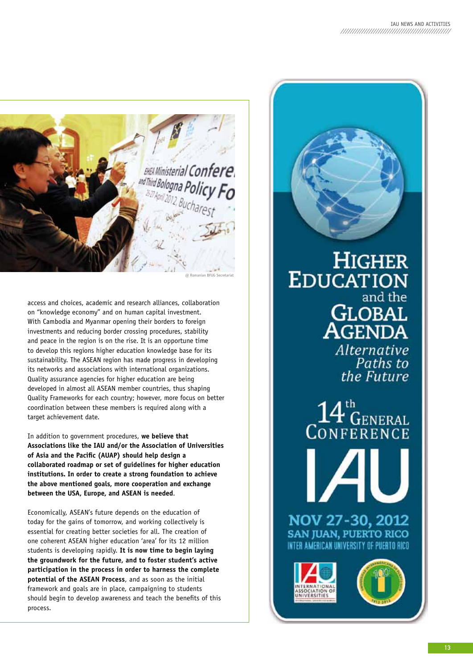

access and choices, academic and research alliances, collaboration on "knowledge economy" and on human capital investment. With Cambodia and Myanmar opening their borders to foreign investments and reducing border crossing procedures, stability and peace in the region is on the rise. It is an opportune time to develop this regions higher education knowledge base for its sustainability. The ASEAN region has made progress in developing its networks and associations with international organizations. Quality assurance agencies for higher education are being developed in almost all ASEAN member countries, thus shaping Quality Frameworks for each country; however, more focus on better coordination between these members is required along with a target achievement date.

In addition to government procedures, **we believe that Associations like the IAU and/or the Association of Universities of Asia and the Pacific (AUAP) should help design a collaborated roadmap or set of guidelines for higher education institutions. In order to create a strong foundation to achieve the above mentioned goals, more cooperation and exchange between the USA, Europe, and ASEAN is needed**.

Economically, ASEAN's future depends on the education of today for the gains of tomorrow, and working collectively is essential for creating better societies for all. The creation of one coherent ASEAN higher education 'area' for its 12 million students is developing rapidly. **It is now time to begin laying the groundwork for the future, and to foster student's active participation in the process in order to harness the complete potential of the ASEAN Process**, and as soon as the initial framework and goals are in place, campaigning to students should begin to develop awareness and teach the benefits of this process.

**HIGHER EDUCATION** and the **GLOBAL**<br>**AGENDA** Alternative<br>Paths to

> $14^{\circ}_{\rm GENERAL}$ **CONFERENCE**

the Future

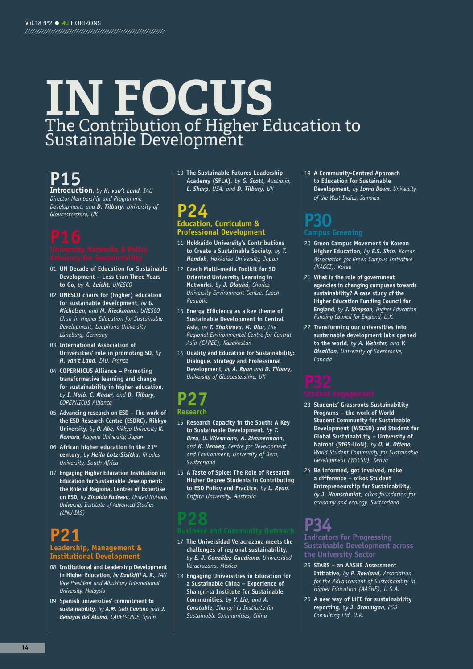## **IN FOCUS** The Contribution of Higher Education to Sustainable Development

## **P15**

**Introduction**, *by H. van't Land, IAU Director Membership and Programme Development, and D. Tilbury, University of Gloucestershire, UK*

- 01 **UN Decade of Education for Sustainable Development – less than Three years to Go**, *by A. Leicht, UNESCO*
- 02 **UNESCO chairs for (higher) education for sustainable development**, *by G. Michelsen, and M. Rieckmann, UNESCO Chair in Higher Education for Sustainable Development, Leuphana University Lüneburg, Germany*
- 03 **International Association of Universities' role in promoting SD**, *by H. van't Land, IAU, France*
- 04 **COPERNICUS Alliance Promoting transformative learning and change for sustainability in higher education**, *by I. Mulà, C. Mader, and D. Tilbury, COPERNICUS Alliance*
- 05 **Advancing research on ESD The work of the ESD Research Centre (ESDRC), Rikkyo University**, *by O. Abe, Rikkyo University K. Nomura, Nagoya University, Japan*
- 06 **African higher education in the 21st century**, *by Heila Lotz-Sisitka, Rhodes University, South Africa*
- 07 **Engaging Higher Education Institution in Education for Sustainable Development: the Role of Regional Centres of Expertise on ESD***, by Zinaida Fadeeva, United Nations University Institute of Advanced Studies (UNU-IAS)*

## **P21 leadership, Management & Institutional Development**

- 08 **Institutional and leadership Development in Higher Education**, *by Dzulkifli A. R., IAU Vice President and Albukhary International University, Malaysia*
- 09 **Spanish universities' commitment to sustainability***, by A.M. Geli Ciurana and J. Benayas del Alamo, CADEP-CRUE, Spain*

10 **The Sustainable Futures leadership Academy (SFlA)***, by G. Scott, Australia, L. Sharp, USA, and D. Tilbury, UK*

## **P24 Education, Curriculum & Professional Development**

- 11 **Hokkaido University's Contributions to Create a Sustainable Society***, by T. Hondoh, Hokkaido University, Japan*
- 12 **Czech Multi-media Toolkit for SD Oriented University learning in Networks***, by J. Dlouhá, Charles University Environment Centre, Czech Republic*
- 13 **Energy Efficiency as a key theme of Sustainable Development in Central Asia***, by T. Shakirova, M. Olar, the Regional Environmental Centre for Central Asia (CAREC), Kazakhstan*
- 14 **Quality and Education for Sustainability: Dialogue, Strategy and Professional Development***, by A. Ryan and D. Tilbury, University of Gloucestershire, UK*

## **P27**

## **Research**

- 15 **Research Capacity in the South: A key to Sustainable Development***, by T. Breu, U. Wiesmann, A. Zimmermann, and K. Herweg, Centre for Development and Environment, University of Bern, Switzerland*
- 16 **A Taste of Spice: The Role of Research Higher Degree Students in Contributing to ESD Policy and Practice***, by L. Ryan, Griffith University, Australia*

- 17 **The Universidad veracruzana meets the challenges of regional sustainability***, by E. J. González-Gaudiano, Universidad Veracruzana, Mexico*
- 18 **Engaging Universities in Education for a Sustainable China – Experience of Shangri-la Institute for Sustainable Communities***, by Y. Liu, and A. Constable, Shangri-la Institute for Sustainable Communities, China*

19 **A Community-Centred Approach to Education for Sustainable Development***, by Lorna Down, University of the West Indies, Jamaica*

## **P30 Campus Greening**

### 20 **Green Campus Movement in korean Higher Education***, by E.S. Shin, Korean Association for Green Campus Initiative (KAGCI), Korea*

- 21 **What is the role of government agencies in changing campuses towards sustainability? A case study of the Higher Education Funding Council for England***, by J. Simpson, Higher Education Funding Council for England, U.K.*
- 22 **Transforming our universities into sustainable development labs opened to the world***, by A. Webster, and V. Bisaillon, University of Sherbrooke, Canada*

- 23 **Students' Grassroots Sustainability Programs – the work of World Student Community for Sustainable Development (WSCSD) and Student for Global Sustainability – University of Nairobi (SfGS-UoN)***, by O. N. Otieno, World Student Community for Sustainable Development (WSCSD), Kenya*
- 24 **be informed, get involved, make a difference – oikos Student Entrepreneurship for Sustainability***, by J. Hamschmidt, oikos foundation for economy and ecology, Switzerland*

### **P34 Indicators for Progressing Sustainable Development across the University Sector**

- 25 **STARS an AASHE Assessment Initiative***, by P. Rowland, Association for the Advancement of Sustainability in Higher Education (AASHE), U.S.A.*
- 26 **A new way of liFE for sustainability reporting***, by J. Brannigan, ESD Consulting Ltd, U.K.*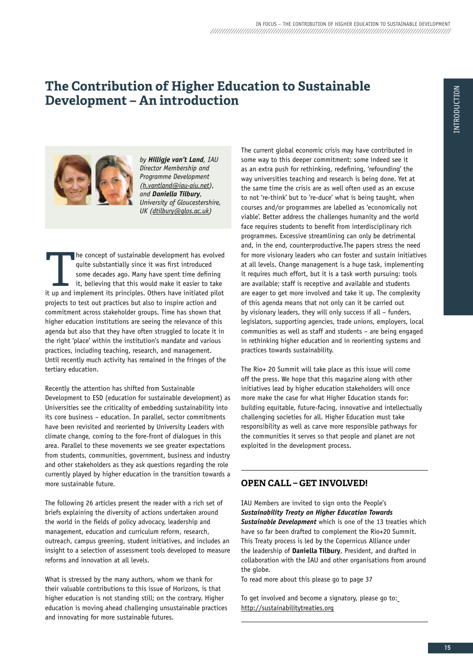## **The Contribution of Higher Education to Sustainable Development – An introduction**



*by Hilligje van't Land, IAU Director Membership and Programme Development (h.vantland@iau-aiu.net), and Daniella Tilbury, University of Gloucestershire, UK (dtilbury@glos.ac.uk)*

**The concept of sustainable development has evolved** quite substantially since it was first introduced some decades ago. Many have spent time defining it, believing that this would make it easier to take it up and implemen quite substantially since it was first introduced some decades ago. Many have spent time defining it, believing that this would make it easier to take projects to test out practices but also to inspire action and commitment across stakeholder groups. Time has shown that higher education institutions are seeing the relevance of this agenda but also that they have often struggled to locate it in the right 'place' within the institution's mandate and various practices, including teaching, research, and management. Until recently much activity has remained in the fringes of the tertiary education.

Recently the attention has shifted from Sustainable Development to ESD (education for sustainable development) as Universities see the criticality of embedding sustainability into its core business – education. In parallel, sector commitments have been revisited and reoriented by University Leaders with climate change, coming to the fore-front of dialogues in this area. Parallel to these movements we see greater expectations from students, communities, government, business and industry and other stakeholders as they ask questions regarding the role currently played by higher education in the transition towards a more sustainable future.

The following 26 articles present the reader with a rich set of briefs explaining the diversity of actions undertaken around the world in the fields of policy advocacy, leadership and management, education and curriculum reform, research, outreach, campus greening, student initiatives, and includes an insight to a selection of assessment tools developed to measure reforms and innovation at all levels.

What is stressed by the many authors, whom we thank for their valuable contributions to this issue of horizons, is that higher education is not standing still; on the contrary. Higher education is moving ahead challenging unsustainable practices and innovating for more sustainable futures.

The current global economic crisis may have contributed in some way to this deeper commitment: some indeed see it as an extra push for rethinking, redefining, 'refounding' the way universities teaching and research is being done. Yet at the same time the crisis are as well often used as an excuse to not 're-think' but to 're-duce' what is being taught, when courses and/or programmes are labelled as 'economically not viable'. Better address the challenges humanity and the world face requires students to benefit from interdisciplinary rich programmes. Excessive streamlining can only be detrimental and, in the end, counterproductive.The papers stress the need for more visionary leaders who can foster and sustain initiatives at all levels. Change management is a huge task, implementing it requires much effort, but it is a task worth pursuing: tools are available; staff is receptive and available and students are eager to get more involved and take it up. The complexity of this agenda means that not only can it be carried out by visionary leaders, they will only success if all – funders, legislators, supporting agencies, trade unions, employers, local communities as well as staff and students – are being engaged in rethinking higher education and in reorienting systems and practices towards sustainability.

The Rio+ 20 Summit will take place as this issue will come off the press. We hope that this magazine along with other initiatives lead by higher education stakeholders will once more make the case for what Higher Education stands for: building equitable, future-facing, innovative and intellectually challenging societies for all. higher Education must take responsibility as well as carve more responsible pathways for the communities it serves so that people and planet are not exploited in the development process.

## **OpEN CAll – gET INVOlVED!**

IAU Members are invited to sign onto the People's *Sustainability Treaty on Higher Education Towards Sustainable Development* which is one of the 13 treaties which have so far been drafted to complement the Rio+20 Summit. This Treaty process is led by the Copernicus Alliance under the leadership of **Daniella Tilbury**, President, and drafted in collaboration with the IAU and other organisations from around the globe.

To read more about this please go to page 37

To get involved and become a signatory, please go to: http://sustainabilitytreaties.org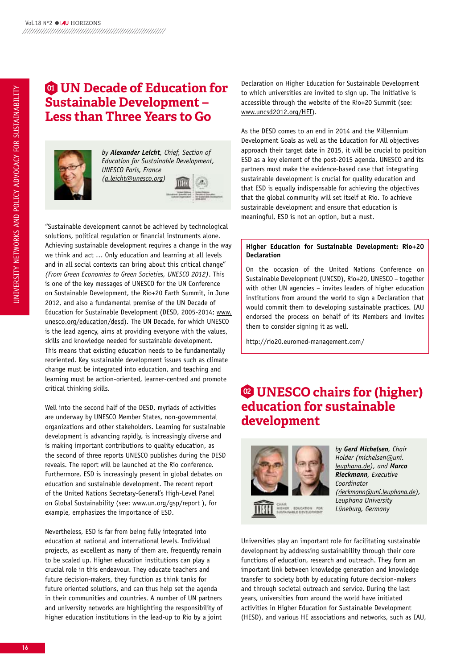## **<sup>01</sup> UN Decade of Education for Sustainable Development – less than Three Years to go**



*by Alexander Leicht, Chief, Section of Education for Sustainable Development, UNESCO Paris, France (a.leicht@unesco.org)*

"Sustainable development cannot be achieved by technological solutions, political regulation or financial instruments alone. Achieving sustainable development requires a change in the way we think and act … Only education and learning at all levels and in all social contexts can bring about this critical change" *(From Green Economies to Green Societies, UNESCO 2012)*. This is one of the key messages of UNESCO for the UN Conference on Sustainable Development, the Rio+20 Earth Summit, in June 2012, and also a fundamental premise of the UN Decade of Education for Sustainable Development (DESD, 2005-2014; www. unesco.org/education/desd). The UN Decade, for which UNESCO is the lead agency, aims at providing everyone with the values, skills and knowledge needed for sustainable development. This means that existing education needs to be fundamentally reoriented. key sustainable development issues such as climate change must be integrated into education, and teaching and learning must be action-oriented, learner-centred and promote critical thinking skills.

Well into the second half of the DESD, myriads of activities are underway by UNESCO Member States, non-governmental organizations and other stakeholders. Learning for sustainable development is advancing rapidly, is increasingly diverse and is making important contributions to quality education, as the second of three reports UNESCO publishes during the DESD reveals. The report will be launched at the Rio conference. Furthermore, ESD is increasingly present in global debates on education and sustainable development. The recent report of the United Nations Secretary-General's high-Level Panel on Global Sustainability (see: www.un.org/gsp/report ), for example, emphasizes the importance of ESD.

Nevertheless, ESD is far from being fully integrated into education at national and international levels. Individual projects, as excellent as many of them are, frequently remain to be scaled up. higher education institutions can play a crucial role in this endeavour. They educate teachers and future decision-makers, they function as think tanks for future oriented solutions, and can thus help set the agenda in their communities and countries. A number of UN partners and university networks are highlighting the responsibility of higher education institutions in the lead-up to Rio by a joint

Declaration on higher Education for Sustainable Development to which universities are invited to sign up. The initiative is accessible through the website of the Rio+20 Summit (see: www.uncsd2012.org/hEI).

As the DESD comes to an end in 2014 and the Millennium Development Goals as well as the Education for All objectives approach their target date in 2015, it will be crucial to position ESD as a key element of the post-2015 agenda. UNESCO and its partners must make the evidence-based case that integrating sustainable development is crucial for quality education and that ESD is equally indispensable for achieving the objectives that the global community will set itself at Rio. To achieve sustainable development and ensure that education is meaningful, ESD is not an option, but a must.

### **Higher Education for Sustainable Development: Rio+20 Declaration**

On the occasion of the United Nations Conference on Sustainable Development (UNCSD), Rio+20, UNESCO – together with other UN agencies – invites leaders of higher education institutions from around the world to sign a Declaration that would commit them to developing sustainable practices. IAU endorsed the process on behalf of its Members and invites them to consider signing it as well.

http://rio20.euromed-management.com/

## **<sup>02</sup> UNESCO chairs for (higher) education for sustainable development**



*by Gerd Michelsen, Chair Holder (michelsen@uni. leuphana.de), and Marco Rieckmann, Executive Coordinator (rieckmann@uni.leuphana.de), Leuphana University Lüneburg, Germany* 

Universities play an important role for facilitating sustainable development by addressing sustainability through their core functions of education, research and outreach. They form an important link between knowledge generation and knowledge transfer to society both by educating future decision-makers and through societal outreach and service. During the last years, universities from around the world have initiated activities in higher Education for Sustainable Development (hESD), and various hE associations and networks, such as IAU,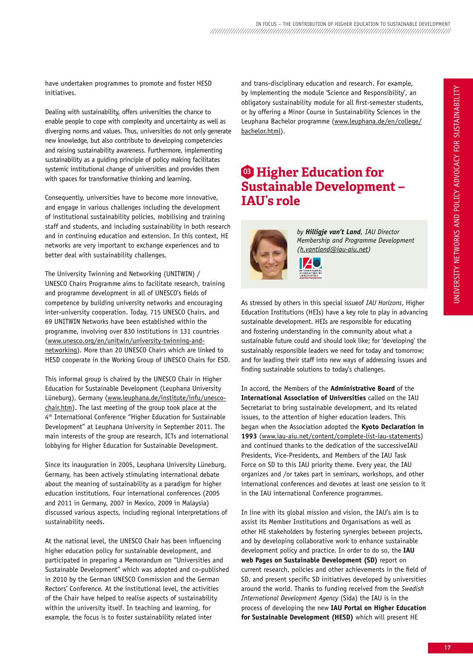have undertaken programmes to promote and foster hESD initiatives.

Dealing with sustainability, offers universities the chance to enable people to cope with complexity and uncertainty as well as diverging norms and values. Thus, universities do not only generate new knowledge, but also contribute to developing competencies and raising sustainability awareness. Furthermore, implementing sustainability as a guiding principle of policy making facilitates systemic institutional change of universities and provides them with spaces for transformative thinking and learning.

Consequently, universities have to become more innovative, and engage in various challenges including the development of institutional sustainability policies, mobilising and training staff and students, and including sustainability in both research and in continuing education and extension. In this context, hE networks are very important to exchange experiences and to better deal with sustainability challenges.

The University Twinning and Networking (UNITWIN) / UNESCO Chairs Programme aims to facilitate research, training and programme development in all of UNESCO's fields of competence by building university networks and encouraging inter-university cooperation. Today, 715 UNESCO Chairs, and 69 UNITWIN Networks have been established within the programme, involving over 830 institutions in 131 countries (www.unesco.org/en/unitwin/university-twinning-andnetworking). More than 20 UNESCO Chairs which are linked to hESD cooperate in the Working Group of UNESCO Chairs for ESD.

This informal group is chaired by the UNESCO Chair in higher Education for Sustainable Development (Leuphana University Lüneburg), Germany (www.leuphana.de/institute/infu/unescochair.htm). The last meeting of the group took place at the 4th International Conference "higher Education for Sustainable Development" at Leuphana University in September 2011. The main interests of the group are research, ICTs and international lobbying for higher Education for Sustainable Development.

Since its inauguration in 2005, Leuphana University Lüneburg, Germany, has been actively stimulating international debate about the meaning of sustainability as a paradigm for higher education institutions. Four international conferences (2005 and 2011 in Germany, 2007 in Mexico, 2009 in Malaysia) discussed various aspects, including regional interpretations of sustainability needs.

At the national level, the UNESCO Chair has been influencing higher education policy for sustainable development, and participated in preparing a Memorandum on "Universities and Sustainable Development" which was adopted and co-published in 2010 by the German UNESCO Commission and the German Rectors' Conference. At the institutional level, the activities of the Chair have helped to realise aspects of sustainability within the university itself. In teaching and learning, for example, the focus is to foster sustainability related inter

and trans-disciplinary education and research. For example, by implementing the module 'Science and Responsibility', an obligatory sustainability module for all first-semester students, or by offering a Minor Course in Sustainability Sciences in the Leuphana Bachelor programme (www.leuphana.de/en/college/ bachelor.html).

## **<sup>03</sup> Higher Education for Sustainable Development – IAU's role**



*by Hilligje van't Land, IAU Director Membership and Programme Development (h.vantland@iau-aiu.net)*

As stressed by others in this special issueof *IAU Horizons*, higher Education Institutions (hEIs) have a key role to play in advancing sustainable development. hEIs are responsible for educating and fostering understanding in the community about what a sustainable future could and should look like; for 'developing' the sustainably responsible leaders we need for today and tomorrow; and for leading their staff into new ways of addressing issues and finding sustainable solutions to today's challenges.

In accord, the Members of the **Administrative board** of the **International Association of Universities** called on the IAU Secretariat to bring sustainable development, and its related issues, to the attention of higher education leaders. This began when the Association adopted the **kyoto Declaration in 1993** (www.iau-aiu.net/content/complete-list-iau-statements) and continued thanks to the dedication of the successiveIAU Presidents, Vice-Presidents, and Members of the IAU Task Force on SD to this IAU priority theme. Every year, the IAU organizes and /or takes part in seminars, workshops, and other international conferences and devotes at least one session to it in the IAU international Conference programmes.

In line with its global mission and vision, the IAU's aim is to assist its Member Institutions and Organisations as well as other hE stakeholders by fostering synergies between projects, and by developing collaborative work to enhance sustainable development policy and practice. In order to do so, the **IAU web Pages on Sustainable Development (SD)** report on current research, policies and other achievements in the field of SD, and present specific SD initiatives developed by universities around the world. Thanks to funding received from the *Swedish International Development Agency* (Sida) the IAU is in the process of developing the new **IAU Portal on Higher Education for Sustainable Development (HESD)** which will present hE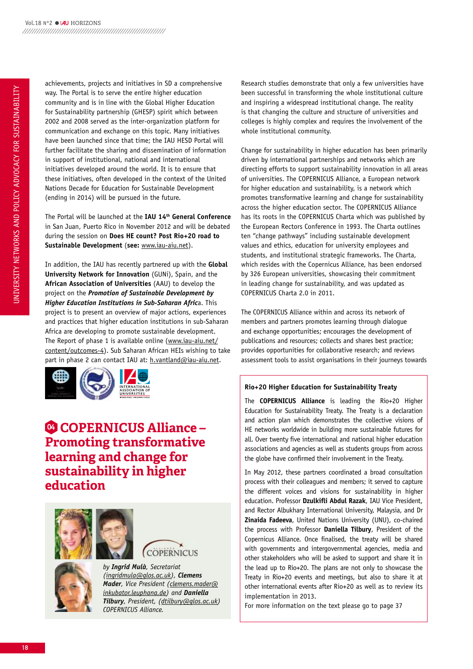achievements, projects and initiatives in SD a comprehensive way. The Portal is to serve the entire higher education community and is in line with the Global higher Education for Sustainability partnership (GhESP) spirit which between 2002 and 2008 served as the inter-organization platform for communication and exchange on this topic. Many initiatives have been launched since that time; the IAU hESD Portal will further facilitate the sharing and dissemination of information in support of institutional, national and international initiatives developed around the world. It is to ensure that these initiatives, often developed in the context of the United Nations Decade for Education for Sustainable Development (ending in 2014) will be pursued in the future.

The Portal will be launched at the **IAU 14th General Conference** in San Juan, Puerto Rico in November 2012 and will be debated during the session on **Does HE count? Post Rio+20 road to Sustainable Development** (**see:** www.iau-aiu.net).

In addition, the IAU has recently partnered up with the **Global University Network for Innovation** (GUNi), Spain, and the **African Association of Universities** (AAU) to develop the project on the *Promotion of Sustainable Development by Higher Education Institutions in Sub-Saharan Afric*a. This project is to present an overview of major actions, experiences and practices that higher education institutions in sub-Saharan Africa are developing to promote sustainable development. The Report of phase 1 is available online (www.iau-aiu.net/ content/outcomes-4). Sub Saharan African hEIs wishing to take part in phase 2 can contact IAU at: h.vantland@iau-aiu.net.



## **<sup>04</sup> COpErNICUS Alliance – promoting transformative learning and change for sustainability in higher education**





*by Ingrid Mulà, Secretariat (ingridmula@glos.ac.uk), Clemens Mader, Vice President (clemens.mader@ inkubator.leuphana.de) and Daniella Tilbury, President, (dtilbury@glos.ac.uk) COPERNICUS Alliance.* 

Research studies demonstrate that only a few universities have been successful in transforming the whole institutional culture and inspiring a widespread institutional change. The reality is that changing the culture and structure of universities and colleges is highly complex and requires the involvement of the whole institutional community.

Change for sustainability in higher education has been primarily driven by international partnerships and networks which are directing efforts to support sustainability innovation in all areas of universities. The COPERNICUS Alliance, a European network for higher education and sustainability, is a network which promotes transformative learning and change for sustainability across the higher education sector. The COPERNICUS Alliance has its roots in the COPERNICUS Charta which was published by the European Rectors Conference in 1993. The Charta outlines ten "change pathways" including sustainable development values and ethics, education for university employees and students, and institutional strategic frameworks. The Charta, which resides with the Copernicus Alliance, has been endorsed by 326 European universities, showcasing their commitment in leading change for sustainability, and was updated as COPERNICUS Charta 2.0 in 2011.

The COPERNICUS Alliance within and across its network of members and partners promotes learning through dialogue and exchange opportunities; encourages the development of publications and resources; collects and shares best practice; provides opportunities for collaborative research; and reviews assessment tools to assist organisations in their journeys towards

### **Rio+20 Higher Education for Sustainability Treaty**

The **COPERNICUS Alliance** is leading the Rio+20 higher Education for Sustainability Treaty. The Treaty is a declaration and action plan which demonstrates the collective visions of hE networks worldwide in building more sustainable futures for all. Over twenty five international and national higher education associations and agencies as well as students groups from across the globe have confirmed their involvement in the Treaty.

In May 2012, these partners coordinated a broad consultation process with their colleagues and members; it served to capture the different voices and visions for sustainability in higher education. Professor **Dzulkifli Abdul Razak**, IAU Vice President, and Rector Albukhary International University, Malaysia, and Dr **zinaida Fadeeva**, United Nations University (UNU), co-chaired the process with Professor **Daniella Tilbury**, President of the Copernicus Alliance. Once finalised, the treaty will be shared with governments and intergovernmental agencies, media and other stakeholders who will be asked to support and share it in the lead up to Rio+20. The plans are not only to showcase the Treaty in Rio+20 events and meetings, but also to share it at other international events after Rio+20 as well as to review its implementation in 2013.

For more information on the text please go to page 37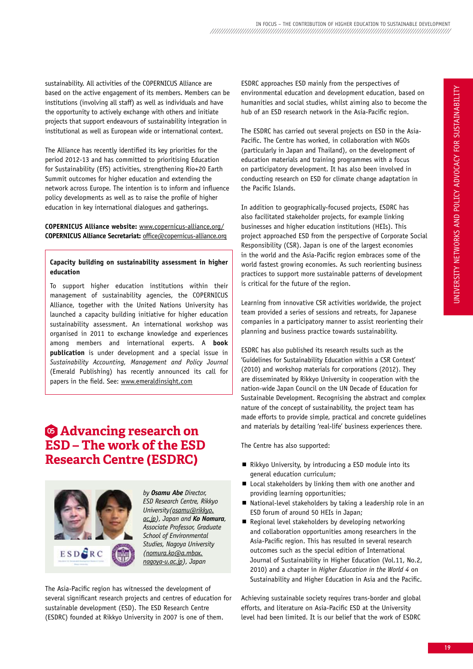sustainability. All activities of the COPERNICUS Alliance are based on the active engagement of its members. Members can be institutions (involving all staff) as well as individuals and have the opportunity to actively exchange with others and initiate projects that support endeavours of sustainability integration in institutional as well as European wide or international context.

The Alliance has recently identified its key priorities for the period 2012-13 and has committed to prioritising Education for Sustainability (EfS) activities, strengthening Rio+20 Earth Summit outcomes for higher education and extending the network across Europe. The intention is to inform and influence policy developments as well as to raise the profile of higher education in key international dialogues and gatherings.

### **COPERNICUS Alliance website:** www.copernicus-alliance.org/ **COPERNICUS Alliance Secretariat:** office@copernicus-alliance.org

### **Capacity building on sustainability assessment in higher education**

To support higher education institutions within their management of sustainability agencies, the COPERNICUS Alliance, together with the United Nations University has launched a capacity building initiative for higher education sustainability assessment. An international workshop was organised in 2011 to exchange knowledge and experiences among members and international experts. A **book publication** is under development and a special issue in *Sustainability Accounting, Management and Policy Journal* (Emerald Publishing) has recently announced its call for papers in the field. See: www.emeraldinsight.com

## **<sup>05</sup> Advancing research on ESD – The work of the ESD research Centre (ESDrC)**



*by Osamu Abe Director, ESD Research Centre, Rikkyo University(osamu@rikkyo. ac.jp), Japan and Ko Nomura, Associate Professor, Graduate School of Environmental Studies, Nagoya University (nomura.ko@a.mbox. nagoya-u.ac.jp), Japan* 

The Asia-Pacific region has witnessed the development of several significant research projects and centres of education for sustainable development (ESD). The ESD Research Centre (ESDRC) founded at Rikkyo University in 2007 is one of them.

ESDRC approaches ESD mainly from the perspectives of environmental education and development education, based on humanities and social studies, whilst aiming also to become the hub of an ESD research network in the Asia-Pacific region.

The ESDRC has carried out several projects on ESD in the Asia-Pacific. The Centre has worked, in collaboration with NGOs (particularly in Japan and Thailand), on the development of education materials and training programmes with a focus on participatory development. It has also been involved in conducting research on ESD for climate change adaptation in the Pacific Islands.

In addition to geographically-focused projects, ESDRC has also facilitated stakeholder projects, for example linking businesses and higher education institutions (hEIs). This project approached ESD from the perspective of Corporate Social Responsibility (CSR). Japan is one of the largest economies in the world and the Asia-Pacific region embraces some of the world fastest growing economies. As such reorienting business practices to support more sustainable patterns of development is critical for the future of the region.

Learning from innovative CSR activities worldwide, the project team provided a series of sessions and retreats, for Japanese companies in a participatory manner to assist reorienting their planning and business practice towards sustainability.

ESDRC has also published its research results such as the 'Guidelines for Sustainability Education within a CSR Context' (2010) and workshop materials for corporations (2012). They are disseminated by Rikkyo University in cooperation with the nation-wide Japan Council on the UN Decade of Education for Sustainable Development. Recognising the abstract and complex nature of the concept of sustainability, the project team has made efforts to provide simple, practical and concrete guidelines and materials by detailing 'real-life' business experiences there.

The Centre has also supported:

- Rikkyo University, by introducing a ESD module into its general education curriculum;
- Local stakeholders by linking them with one another and providing learning opportunities;
- $\blacksquare$  National-level stakeholders by taking a leadership role in an ESD forum of around 50 hEIs in Japan;
- Regional level stakeholders by developing networking and collaboration opportunities among researchers in the Asia-Pacific region. This has resulted in several research outcomes such as the special edition of International Journal of Sustainability in higher Education (Vol.11, No.2, 2010) and a chapter in *Higher Education in the World 4* on Sustainability and higher Education in Asia and the Pacific.

Achieving sustainable society requires trans-border and global efforts, and literature on Asia-Pacific ESD at the University level had been limited. It is our belief that the work of ESDRC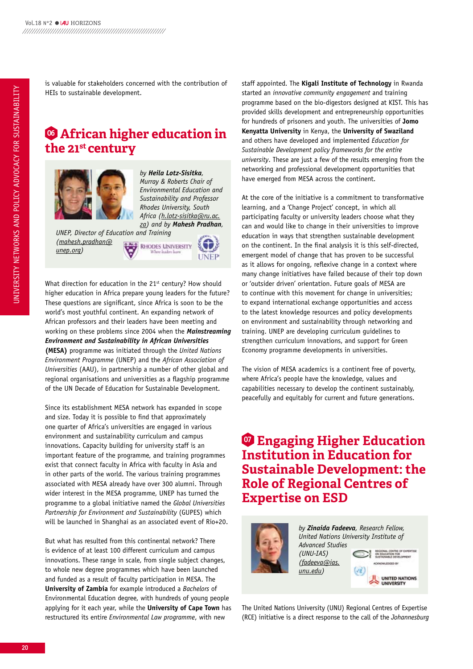is valuable for stakeholders concerned with the contribution of hEIs to sustainable development.

## **<sup>06</sup> African higher education in the 21st century**



*by Heila Lotz-Sisitka, Murray & Roberts Chair of Environmental Education and Sustainability and Professor Rhodes University, South Africa (h.lotz-sisitka@ru.ac. za) and by Mahesh Pradhan,* 

*UNEP, Director of Education and Training (mahesh.pradhan@* **RHODES UNIVERSITY** *unep.org)*



What direction for education in the 21<sup>st</sup> century? How should higher education in Africa prepare young leaders for the future? These questions are significant, since Africa is soon to be the world's most youthful continent. An expanding network of African professors and their leaders have been meeting and working on these problems since 2004 when the *Mainstreaming Environment and Sustainability in African Universities*  **(MESA)** programme was initiated through the *United Nations Environment Programme* (UNEP) and the *African Association of Universities* (AAU), in partnership a number of other global and regional organisations and universities as a flagship programme of the UN Decade of Education for Sustainable Development.

Since its establishment MESA network has expanded in scope and size. Today it is possible to find that approximately one quarter of Africa's universities are engaged in various environment and sustainability curriculum and campus innovations. Capacity building for university staff is an important feature of the programme, and training programmes exist that connect faculty in Africa with faculty in Asia and in other parts of the world. The various training programmes associated with MESA already have over 300 alumni. Through wider interest in the MESA programme, UNEP has turned the programme to a global initiative named the *Global Universities Partnership for Environment and Sustainability* (GUPES) which will be launched in Shanghai as an associated event of Rio+20.

But what has resulted from this continental network? There is evidence of at least 100 different curriculum and campus innovations. These range in scale, from single subject changes, to whole new degree programmes which have been launched and funded as a result of faculty participation in MESA. The **University of zambia** for example introduced a *Bachelors* of Environmental Education degree, with hundreds of young people applying for it each year, while the **University of Cape Town** has restructured its entire *Environmental Law programme*, with new

staff appointed. The **kigali Institute of Technology** in Rwanda started an *innovative community engagement* and training programme based on the bio-digestors designed at kIST. This has provided skills development and entrepreneurship opportunities for hundreds of prisoners and youth. The universities of **Jomo kenyatta University** in kenya, the **University of Swaziland** and others have developed and implemented *Education for Sustainable Development policy frameworks for the entire university*. These are just a few of the results emerging from the networking and professional development opportunities that have emerged from MESA across the continent.

At the core of the initiative is a commitment to transformative learning, and a 'Change Project' concept, in which all participating faculty or university leaders choose what they can and would like to change in their universities to improve education in ways that strengthen sustainable development on the continent. In the final analysis it is this self-directed, emergent model of change that has proven to be successful as it allows for ongoing, reflexive change in a context where many change initiatives have failed because of their top down or 'outsider driven' orientation. Future goals of MESA are to continue with this movement for change in universities; to expand international exchange opportunities and access to the latest knowledge resources and policy developments on environment and sustainability through networking and training. UNEP are developing curriculum guidelines to strengthen curriculum innovations, and support for Green Economy programme developments in universities.

The vision of MESA academics is a continent free of poverty, where Africa's people have the knowledge, values and capabilities necessary to develop the continent sustainably, peacefully and equitably for current and future generations.

## **<sup>07</sup> Engaging Higher Education Institution in Education for Sustainable Development: the Role of Regional Centres of Expertise on ESD**



*by Zinaida Fadeeva, Research Fellow, United Nations University Institute of Advanced Studies (UNU-IAS) (fadeeva@ias.*

> **UNITED NATIONS UNIVERSITY**

The United Nations University (UNU) Regional Centres of Expertise (RCE) initiative is a direct response to the call of the *Johannesburg* 

*unu.edu)*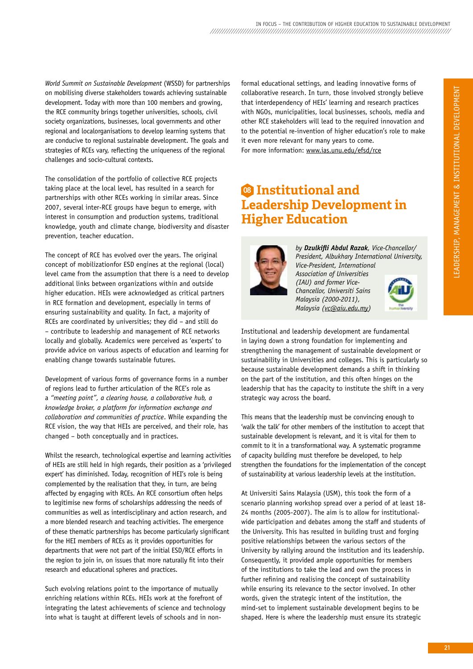*World Summit on Sustainable Development* (WSSD) for partnerships on mobilising diverse stakeholders towards achieving sustainable development. Today with more than 100 members and growing, the RCE community brings together universities, schools, civil society organizations, businesses, local governments and other regional and localorganisations to develop learning systems that are conducive to regional sustainable development. The goals and strategies of RCEs vary, reflecting the uniqueness of the regional challenges and socio-cultural contexts.

The consolidation of the portfolio of collective RCE projects taking place at the local level, has resulted in a search for partnerships with other RCEs working in similar areas. Since 2007, several inter-RCE groups have begun to emerge, with interest in consumption and production systems, traditional knowledge, youth and climate change, biodiversity and disaster prevention, teacher education.

The concept of RCE has evolved over the years. The original concept of mobilizationfor ESD engines at the regional (local) level came from the assumption that there is a need to develop additional links between organizations within and outside higher education. hEIs were acknowledged as critical partners in RCE formation and development, especially in terms of ensuring sustainability and quality. In fact, a majority of RCEs are coordinated by universities; they did – and still do – contribute to leadership and management of RCE networks locally and globally. Academics were perceived as 'experts' to provide advice on various aspects of education and learning for enabling change towards sustainable futures.

Development of various forms of governance forms in a number of regions lead to further articulation of the RCE's role as a *"meeting point", a clearing house, a collaborative hub, a knowledge broker, a platform for information exchange and collaboration and communities of practice*. While expanding the RCE vision, the way that HEIs are perceived, and their role, has changed – both conceptually and in practices.

Whilst the research, technological expertise and learning activities of hEIs are still held in high regards, their position as a 'privileged expert' has diminished. Today, recognition of hEI's role is being complemented by the realisation that they, in turn, are being affected by engaging with RCEs. An RCE consortium often helps to legitimise new forms of scholarships addressing the needs of communities as well as interdisciplinary and action research, and a more blended research and teaching activities. The emergence of these thematic partnerships has become particularly significant for the hEI members of RCEs as it provides opportunities for departments that were not part of the initial ESD/RCE efforts in the region to join in, on issues that more naturally fit into their research and educational spheres and practices.

Such evolving relations point to the importance of mutually enriching relations within RCEs. hEIs work at the forefront of integrating the latest achievements of science and technology into what is taught at different levels of schools and in nonformal educational settings, and leading innovative forms of collaborative research. In turn, those involved strongly believe that interdependency of hEIs' learning and research practices with NGOs, municipalities, local businesses, schools, media and other RCE stakeholders will lead to the required innovation and to the potential re-invention of higher education's role to make it even more relevant for many years to come. For more information: www.ias.unu.edu/efsd/rce

## **<sup>08</sup> Institutional and leadership Development in Higher Education**



*by Dzulkifli Abdul Razak, Vice-Chancellor/ President, Albukhary International University, Vice-President, International Association of Universities (IAU) and former Vice-Chancellor, Universiti Sains Malaysia (2000-2011), Malaysia (vc@aiu.edu.my)* 



Institutional and leadership development are fundamental in laying down a strong foundation for implementing and strengthening the management of sustainable development or sustainability in Universities and colleges. This is particularly so because sustainable development demands a shift in thinking on the part of the institution, and this often hinges on the leadership that has the capacity to institute the shift in a very strategic way across the board.

This means that the leadership must be convincing enough to 'walk the talk' for other members of the institution to accept that sustainable development is relevant, and it is vital for them to commit to it in a transformational way. A systematic programme of capacity building must therefore be developed, to help strengthen the foundations for the implementation of the concept of sustainability at various leadership levels at the institution.

At Universiti Sains Malaysia (USM), this took the form of a scenario planning workshop spread over a period of at least 18- 24 months (2005-2007). The aim is to allow for institutionalwide participation and debates among the staff and students of the University. This has resulted in building trust and forging positive relationships between the various sectors of the University by rallying around the institution and its leadership. Consequently, it provided ample opportunities for members of the institutions to take the lead and own the process in further refining and realising the concept of sustainability while ensuring its relevance to the sector involved. In other words, given the strategic intent of the institution, the mind-set to implement sustainable development begins to be shaped. here is where the leadership must ensure its strategic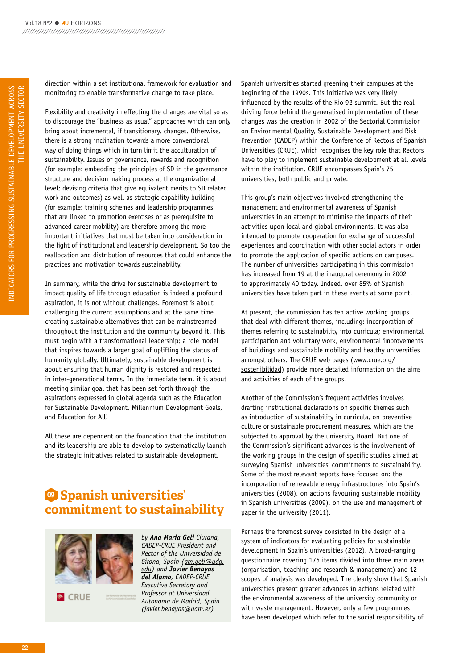direction within a set institutional framework for evaluation and monitoring to enable transformative change to take place.

Flexibility and creativity in effecting the changes are vital so as to discourage the "business as usual" approaches which can only bring about incremental, if transitionary, changes. Otherwise, there is a strong inclination towards a more conventional way of doing things which in turn limit the acculturation of sustainability. Issues of governance, rewards and recognition (for example: embedding the principles of SD in the governance structure and decision making process at the organizational level; devising criteria that give equivalent merits to SD related work and outcomes) as well as strategic capability building (for example: training schemes and leadership programmes that are linked to promotion exercises or as prerequisite to advanced career mobility) are therefore among the more important initiatives that must be taken into consideration in the light of institutional and leadership development. So too the reallocation and distribution of resources that could enhance the practices and motivation towards sustainability.

In summary, while the drive for sustainable development to impact quality of life through education is indeed a profound aspiration, it is not without challenges. Foremost is about challenging the current assumptions and at the same time creating sustainable alternatives that can be mainstreamed throughout the institution and the community beyond it. This must begin with a transformational leadership; a role model that inspires towards a larger goal of uplifting the status of humanity globally. Ultimately, sustainable development is about ensuring that human dignity is restored and respected in inter-generational terms. In the immediate term, it is about meeting similar goal that has been set forth through the aspirations expressed in global agenda such as the Education for Sustainable Development, Millennium Development Goals, and Education for All!

All these are dependent on the foundation that the institution and its leadership are able to develop to systematically launch the strategic initiatives related to sustainable development.

## **<sup>09</sup> Spanish universities' commitment to sustainability**



CRUE<sup>®</sup>

*by Ana Maria Geli Ciurana, CADEP-CRUE President and Rector of the Universidad de Girona, Spain (am.geli@udg. edu) and Javier Benayas del Alamo, CADEP-CRUE Executive Secretary and Professor at Universidad Autónoma de Madrid, Spain (javier.benayas@uam.es)* 

Spanish universities started greening their campuses at the beginning of the 1990s. This initiative was very likely influenced by the results of the Rio 92 summit. But the real driving force behind the generalised implementation of these changes was the creation in 2002 of the Sectorial Commission on Environmental Quality, Sustainable Development and Risk Prevention (CADEP) within the Conference of Rectors of Spanish Universities (CRUE), which recognises the key role that Rectors have to play to implement sustainable development at all levels within the institution. CRUE encompasses Spain's 75 universities, both public and private.

This group's main objectives involved strengthening the management and environmental awareness of Spanish universities in an attempt to minimise the impacts of their activities upon local and global environments. It was also intended to promote cooperation for exchange of successful experiences and coordination with other social actors in order to promote the application of specific actions on campuses. The number of universities participating in this commission has increased from 19 at the inaugural ceremony in 2002 to approximately 40 today. Indeed, over 85% of Spanish universities have taken part in these events at some point.

At present, the commission has ten active working groups that deal with different themes, including: incorporation of themes referring to sustainability into curricula; environmental participation and voluntary work, environmental improvements of buildings and sustainable mobility and healthy universities amongst others. The CRUE web pages (www.crue.org/ sostenibilidad) provide more detailed information on the aims and activities of each of the groups.

Another of the Commission's frequent activities involves drafting institutional declarations on specific themes such as introduction of sustainability in curricula, on preventive culture or sustainable procurement measures, which are the subjected to approval by the university Board. But one of the Commission's significant advances is the involvement of the working groups in the design of specific studies aimed at surveying Spanish universities' commitments to sustainability. Some of the most relevant reports have focused on: the incorporation of renewable energy infrastructures into Spain's universities (2008), on actions favouring sustainable mobility in Spanish universities (2009), on the use and management of paper in the university (2011).

Perhaps the foremost survey consisted in the design of a system of indicators for evaluating policies for sustainable development in Spain's universities (2012). A broad-ranging questionnaire covering 176 items divided into three main areas (organisation, teaching and research & management) and 12 scopes of analysis was developed. The clearly show that Spanish universities present greater advances in actions related with the environmental awareness of the university community or with waste management. however, only a few programmes have been developed which refer to the social responsibility of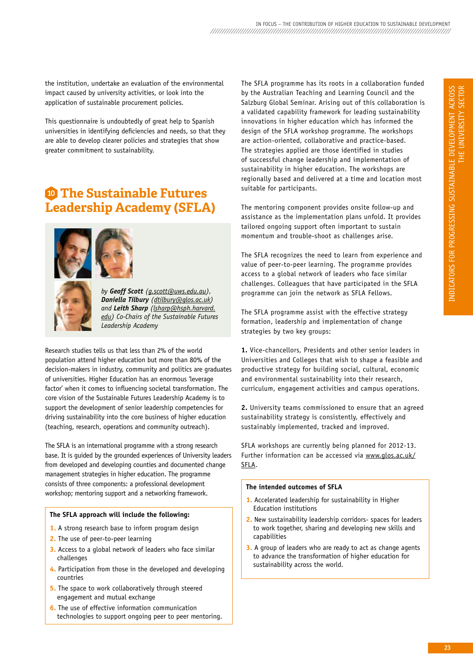the institution, undertake an evaluation of the environmental impact caused by university activities, or look into the application of sustainable procurement policies.

This questionnaire is undoubtedly of great help to Spanish universities in identifying deficiencies and needs, so that they are able to develop clearer policies and strategies that show greater commitment to sustainability.

## **<sup>10</sup> The Sustainable Futures leadership Academy (SFlA)**



*by Geoff Scott (g.scott@uws.edu.au), Daniella Tilbury (dtilbury@glos.ac.uk) and Leith Sharp (lsharp@hsph.harvard. edu) Co-Chairs of the Sustainable Futures Leadership Academy*

Research studies tells us that less than 2% of the world population attend higher education but more than 80% of the decision-makers in industry, community and politics are graduates of universities. higher Education has an enormous 'leverage factor' when it comes to influencing societal transformation. The core vision of the Sustainable Futures Leadership Academy is to support the development of senior leadership competencies for driving sustainability into the core business of higher education (teaching, research, operations and community outreach).

The SFLA is an international programme with a strong research base. It is guided by the grounded experiences of University leaders from developed and developing counties and documented change management strategies in higher education. The programme consists of three components: a professional development workshop; mentoring support and a networking framework.

### **The SFlA approach will include the following:**

- **1.** A strong research base to inform program design
- **2.** The use of peer-to-peer learning
- **3.** Access to a global network of leaders who face similar challenges
- **4.** Participation from those in the developed and developing countries
- **5.** The space to work collaboratively through steered engagement and mutual exchange
- **6.** The use of effective information communication technologies to support ongoing peer to peer mentoring.

The SFLA programme has its roots in a collaboration funded by the Australian Teaching and Learning Council and the Salzburg Global Seminar. Arising out of this collaboration is a validated capability framework for leading sustainability innovations in higher education which has informed the design of the SFLA workshop programme. The workshops are action-oriented, collaborative and practice-based. The strategies applied are those identified in studies of successful change leadership and implementation of sustainability in higher education. The workshops are regionally based and delivered at a time and location most suitable for participants.

The mentoring component provides onsite follow-up and assistance as the implementation plans unfold. It provides tailored ongoing support often important to sustain momentum and trouble-shoot as challenges arise.

The SFLA recognizes the need to learn from experience and value of peer-to-peer learning. The programme provides access to a global network of leaders who face similar challenges. Colleagues that have participated in the SFLA programme can join the network as SFLA Fellows.

The SFLA programme assist with the effective strategy formation, leadership and implementation of change strategies by two key groups:

**1.** Vice-chancellors, Presidents and other senior leaders in Universities and Colleges that wish to shape a feasible and productive strategy for building social, cultural, economic and environmental sustainability into their research, curriculum, engagement activities and campus operations.

**2.** University teams commissioned to ensure that an agreed sustainability strategy is consistently, effectively and sustainably implemented, tracked and improved.

SFLA workshops are currently being planned for 2012-13. Further information can be accessed via www.glos.ac.uk/ SFLA.

### **The intended outcomes of SFlA**

- **1.** Accelerated leadership for sustainability in higher Education institutions
- **2.** New sustainability leadership corridors- spaces for leaders to work together, sharing and developing new skills and capabilities
- **3.** A group of leaders who are ready to act as change agents to advance the transformation of higher education for sustainability across the world.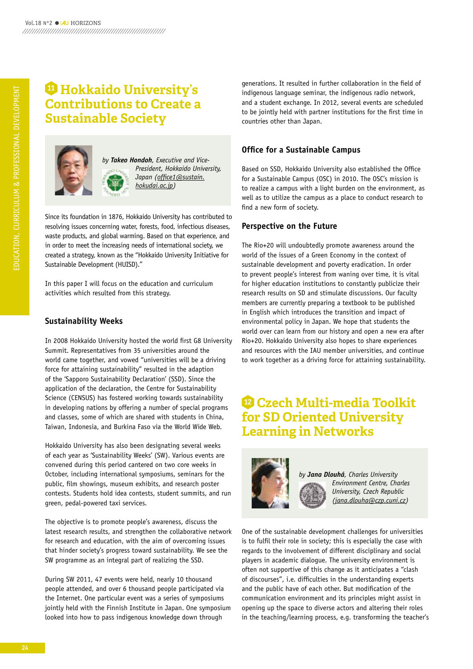## **<sup>11</sup> Hokkaido University's Contributions to Create a Sustainable Society**



*by Takeo Hondoh, Executive and Vice-President, Hokkaido University, Japan (office1@sustain. hokudai.ac.jp)* 

Since its foundation in 1876, hokkaido University has contributed to resolving issues concerning water, forests, food, infectious diseases, waste products, and global warming. Based on that experience, and in order to meet the increasing needs of international society, we created a strategy, known as the "hokkaido University Initiative for Sustainable Development (hUISD)."

In this paper I will focus on the education and curriculum activities which resulted from this strategy.

## **Sustainability Weeks**

In 2008 hokkaido University hosted the world first G8 University Summit. Representatives from 35 universities around the world came together, and vowed "universities will be a driving force for attaining sustainability" resulted in the adaption of the 'Sapporo Sustainability Declaration' (SSD). Since the application of the declaration, the Centre for Sustainability Science (CENSUS) has fostered working towards sustainability in developing nations by offering a number of special programs and classes, some of which are shared with students in China, Taiwan, Indonesia, and Burkina Faso via the World Wide Web.

hokkaido University has also been designating several weeks of each year as 'Sustainability Weeks' (SW). Various events are convened during this period cantered on two core weeks in October, including international symposiums, seminars for the public, film showings, museum exhibits, and research poster contests. Students hold idea contests, student summits, and run green, pedal-powered taxi services.

The objective is to promote people's awareness, discuss the latest research results, and strengthen the collaborative network for research and education, with the aim of overcoming issues that hinder society's progress toward sustainability. We see the SW programme as an integral part of realizing the SSD.

During SW 2011, 47 events were held, nearly 10 thousand people attended, and over 6 thousand people participated via the Internet. One particular event was a series of symposiums jointly held with the Finnish Institute in Japan. One symposium looked into how to pass indigenous knowledge down through

generations. It resulted in further collaboration in the field of indigenous language seminar, the indigenous radio network, and a student exchange. In 2012, several events are scheduled to be jointly held with partner institutions for the first time in countries other than Japan.

## **Office for a Sustainable Campus**

Based on SSD, hokkaido University also established the Office for a Sustainable Campus (OSC) in 2010. The OSC's mission is to realize a campus with a light burden on the environment, as well as to utilize the campus as a place to conduct research to find a new form of society.

## **Perspective on the Future**

The Rio+20 will undoubtedly promote awareness around the world of the issues of a Green Economy in the context of sustainable development and poverty eradication. In order to prevent people's interest from waning over time, it is vital for higher education institutions to constantly publicize their research results on SD and stimulate discussions. Our faculty members are currently preparing a textbook to be published in English which introduces the transition and impact of environmental policy in Japan. We hope that students the world over can learn from our history and open a new era after Rio+20. hokkaido University also hopes to share experiences and resources with the IAU member universities, and continue to work together as a driving force for attaining sustainability.

## **<sup>12</sup> Czech multi-media Toolkit for SD Oriented University learning in Networks**



*by Jana Dlouhá, Charles University Environment Centre, Charles University, Czech Republic (jana.dlouha@czp.cuni.cz)* 

One of the sustainable development challenges for universities is to fulfil their role in society; this is especially the case with regards to the involvement of different disciplinary and social players in academic dialogue. The university environment is often not supportive of this change as it anticipates a "clash of discourses", i.e. difficulties in the understanding experts and the public have of each other. But modification of the communication environment and its principles might assist in opening up the space to diverse actors and altering their roles in the teaching/learning process, e.g. transforming the teacher's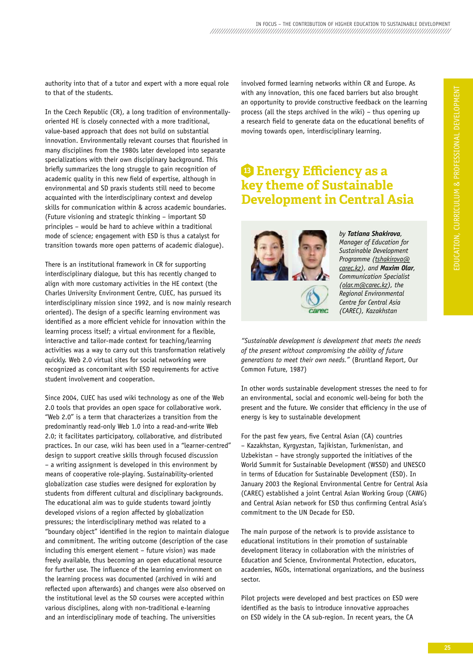authority into that of a tutor and expert with a more equal role to that of the students.

In the Czech Republic (CR), a long tradition of environmentallyoriented hE is closely connected with a more traditional, value-based approach that does not build on substantial innovation. Environmentally relevant courses that flourished in many disciplines from the 1980s later developed into separate specializations with their own disciplinary background. This briefly summarizes the long struggle to gain recognition of academic quality in this new field of expertise, although in environmental and SD praxis students still need to become acquainted with the interdisciplinary context and develop skills for communication within & across academic boundaries. (Future visioning and strategic thinking – important SD principles – would be hard to achieve within a traditional mode of science; engagement with ESD is thus a catalyst for transition towards more open patterns of academic dialogue).

There is an institutional framework in CR for supporting interdisciplinary dialogue, but this has recently changed to align with more customary activities in the hE context (the Charles University Environment Centre, CUEC, has pursued its interdisciplinary mission since 1992, and is now mainly research oriented). The design of a specific learning environment was identified as a more efficient vehicle for innovation within the learning process itself; a virtual environment for a flexible, interactive and tailor-made context for teaching/learning activities was a way to carry out this transformation relatively quickly. Web 2.0 virtual sites for social networking were recognized as concomitant with ESD requirements for active student involvement and cooperation.

Since 2004, CUEC has used wiki technology as one of the Web 2.0 tools that provides an open space for collaborative work. "Web 2.0" is a term that characterizes a transition from the predominantly read-only Web 1.0 into a read-and-write Web 2.0; it facilitates participatory, collaborative, and distributed practices. In our case, wiki has been used in a "learner-centred" design to support creative skills through focused discussion – a writing assignment is developed in this environment by means of cooperative role-playing. Sustainability-oriented globalization case studies were designed for exploration by students from different cultural and disciplinary backgrounds. The educational aim was to guide students toward jointly developed visions of a region affected by globalization pressures; the interdisciplinary method was related to a "boundary object" identified in the region to maintain dialogue and commitment. The writing outcome (description of the case including this emergent element – future vision) was made freely available, thus becoming an open educational resource for further use. The influence of the learning environment on the learning process was documented (archived in wiki and reflected upon afterwards) and changes were also observed on the institutional level as the SD courses were accepted within various disciplines, along with non-traditional e-learning and an interdisciplinary mode of teaching. The universities

involved formed learning networks within CR and Europe. As with any innovation, this one faced barriers but also brought an opportunity to provide constructive feedback on the learning process (all the steps archived in the wiki) – thus opening up a research field to generate data on the educational benefits of moving towards open, interdisciplinary learning.

## **<sup>13</sup> Energy Efficiency as a key theme of Sustainable Development in Central Asia**



*by Tatiana Shakirova, Manager of Education for Sustainable Development Programme (tshakirova@ carec.kz), and Maxim Olar, Communication Specialist (olar.m@carec.kz), the Regional Environmental Centre for Central Asia (CAREC), Kazakhstan*

*"Sustainable development is development that meets the needs of the present without compromising the ability of future generations to meet their own needs."* (Bruntland Report, Our Common Future, 1987)

In other words sustainable development stresses the need to for an environmental, social and economic well-being for both the present and the future. We consider that efficiency in the use of energy is key to sustainable development

For the past few years, five Central Asian (CA) countries – kazakhstan, kyrgyzstan, Tajikistan, Turkmenistan, and Uzbekistan – have strongly supported the initiatives of the World Summit for Sustainable Development (WSSD) and UNESCO in terms of Education for Sustainable Development (ESD). In January 2003 the Regional Environmental Centre for Central Asia (CAREC) established a joint Central Asian Working Group (CAWG) and Central Asian network for ESD thus confirming Central Asia's commitment to the UN Decade for ESD.

The main purpose of the network is to provide assistance to educational institutions in their promotion of sustainable development literacy in collaboration with the ministries of Education and Science, Environmental Protection, educators, academies, NGOs, international organizations, and the business sector.

Pilot projects were developed and best practices on ESD were identified as the basis to introduce innovative approaches on ESD widely in the CA sub-region. In recent years, the CA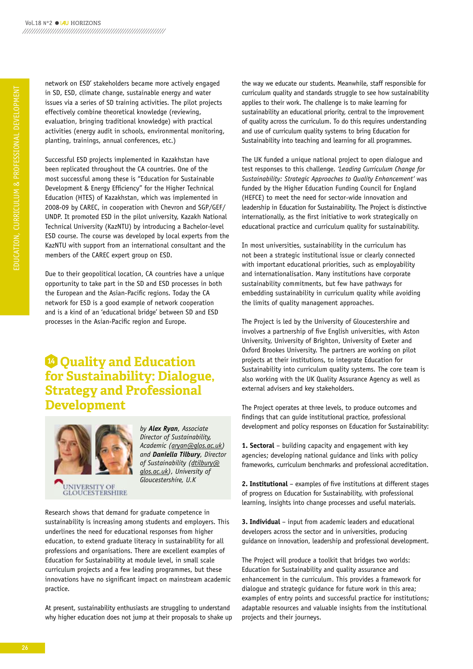network on ESD' stakeholders became more actively engaged in SD, ESD, climate change, sustainable energy and water issues via a series of SD training activities. The pilot projects effectively combine theoretical knowledge (reviewing, evaluation, bringing traditional knowledge) with practical activities (energy audit in schools, environmental monitoring, planting, trainings, annual conferences, etc.)

Successful ESD projects implemented in kazakhstan have been replicated throughout the CA countries. One of the most successful among these is "Education for Sustainable Development & Energy Efficiency" for the higher Technical Education (hTES) of kazakhstan, which was implemented in 2008-09 by CAREC, in cooperation with Chevron and SGP/GEF/ UNDP. It promoted ESD in the pilot university, kazakh National Technical University (kazNTU) by introducing a Bachelor-level ESD course. The course was developed by local experts from the kazNTU with support from an international consultant and the members of the CAREC expert group on ESD.

Due to their geopolitical location, CA countries have a unique opportunity to take part in the SD and ESD processes in both the European and the Asian-Pacific regions. Today the CA network for ESD is a good example of network cooperation and is a kind of an 'educational bridge' between SD and ESD processes in the Asian-Pacific region and Europe.

## **<sup>14</sup> Quality and Education for Sustainability: Dialogue, Strategy and professional Development**



*by Alex Ryan, Associate Director of Sustainability, Academic (aryan@glos.ac.uk) and Daniella Tilbury, Director of Sustainability (dtilbury@ glos.ac.uk), University of Gloucestershire, U.K* 

Research shows that demand for graduate competence in sustainability is increasing among students and employers. This underlines the need for educational responses from higher education, to extend graduate literacy in sustainability for all professions and organisations. There are excellent examples of Education for Sustainability at module level, in small scale curriculum projects and a few leading programmes, but these innovations have no significant impact on mainstream academic practice.

At present, sustainability enthusiasts are struggling to understand why higher education does not jump at their proposals to shake up the way we educate our students. Meanwhile, staff responsible for curriculum quality and standards struggle to see how sustainability applies to their work. The challenge is to make learning for sustainability an educational priority, central to the improvement of quality across the curriculum. To do this requires understanding and use of curriculum quality systems to bring Education for Sustainability into teaching and learning for all programmes.

The Uk funded a unique national project to open dialogue and test responses to this challenge. *'Leading Curriculum Change for Sustainability: Strategic Approaches to Quality Enhancement'* was funded by the higher Education Funding Council for England (hEFCE) to meet the need for sector-wide innovation and leadership in Education for Sustainability. The Project is distinctive internationally, as the first initiative to work strategically on educational practice and curriculum quality for sustainability.

In most universities, sustainability in the curriculum has not been a strategic institutional issue or clearly connected with important educational priorities, such as employability and internationalisation. Many institutions have corporate sustainability commitments, but few have pathways for embedding sustainability in curriculum quality while avoiding the limits of quality management approaches.

The Project is led by the University of Gloucestershire and involves a partnership of five English universities, with Aston University, University of Brighton, University of Exeter and Oxford Brookes University. The partners are working on pilot projects at their institutions, to integrate Education for Sustainability into curriculum quality systems. The core team is also working with the Uk Quality Assurance Agency as well as external advisers and key stakeholders.

The Project operates at three levels, to produce outcomes and findings that can guide institutional practice, professional development and policy responses on Education for Sustainability:

**1. Sectoral** – building capacity and engagement with key agencies; developing national guidance and links with policy frameworks, curriculum benchmarks and professional accreditation.

**2. Institutional** – examples of five institutions at different stages of progress on Education for Sustainability, with professional learning, insights into change processes and useful materials.

**3. Individual** – input from academic leaders and educational developers across the sector and in universities, producing guidance on innovation, leadership and professional development.

The Project will produce a toolkit that bridges two worlds: Education for Sustainability and quality assurance and enhancement in the curriculum. This provides a framework for dialogue and strategic guidance for future work in this area: examples of entry points and successful practice for institutions; adaptable resources and valuable insights from the institutional projects and their journeys.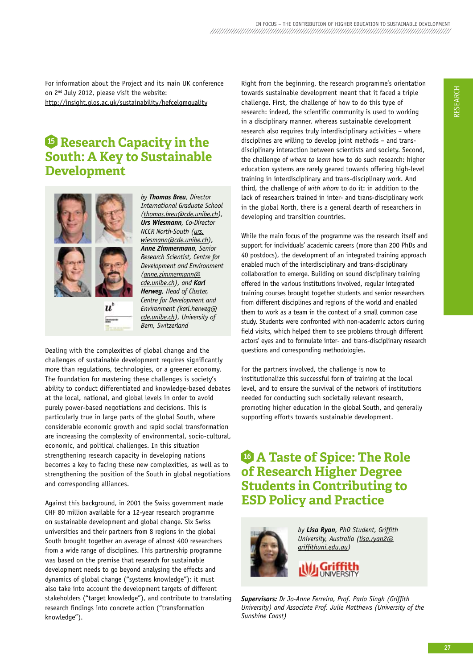For information about the Project and its main Uk conference on 2nd July 2012, please visit the website: http://insight.glos.ac.uk/sustainability/hefcelgmquality

## **<sup>15</sup> research Capacity in the South: A Key to Sustainable Development**



*by Thomas Breu, Director International Graduate School (thomas.breu@cde.unibe.ch), Urs Wiesmann, Co-Director NCCR North-South (urs. wiesmann@cde.unibe.ch), Anne Zimmermann, Senior Research Scientist, Centre for Development and Environment (anne.zimmermann@ cde.unibe.ch), and Karl Herweg, Head of Cluster, Centre for Development and Environment (karl.herweg@ cde.unibe.ch), University of Bern, Switzerland*

Dealing with the complexities of global change and the challenges of sustainable development requires significantly more than regulations, technologies, or a greener economy. The foundation for mastering these challenges is society's ability to conduct differentiated and knowledge-based debates at the local, national, and global levels in order to avoid purely power-based negotiations and decisions. This is particularly true in large parts of the global South, where considerable economic growth and rapid social transformation are increasing the complexity of environmental, socio-cultural, economic, and political challenges. In this situation strengthening research capacity in developing nations becomes a key to facing these new complexities, as well as to strengthening the position of the South in global negotiations and corresponding alliances.

Against this background, in 2001 the Swiss government made ChF 80 million available for a 12-year research programme on sustainable development and global change. Six Swiss universities and their partners from 8 regions in the global South brought together an average of almost 400 researchers from a wide range of disciplines. This partnership programme was based on the premise that research for sustainable development needs to go beyond analysing the effects and dynamics of global change ("systems knowledge"): it must also take into account the development targets of different stakeholders ("target knowledge"), and contribute to translating research findings into concrete action ("transformation knowledge").

Right from the beginning, the research programme's orientation towards sustainable development meant that it faced a triple challenge. First, the challenge of how to do this type of research: indeed, the scientific community is used to working in a disciplinary manner, whereas sustainable development research also requires truly interdisciplinary activities – where disciplines are willing to develop joint methods – and transdisciplinary interaction between scientists and society. Second, the challenge of *where to learn* how to do such research: higher education systems are rarely geared towards offering high-level training in interdisciplinary and trans-disciplinary work. And third, the challenge of *with whom* to do it: in addition to the lack of researchers trained in inter- and trans-disciplinary work in the global North, there is a general dearth of researchers in developing and transition countries.

While the main focus of the programme was the research itself and support for individuals' academic careers (more than 200 PhDs and 40 postdocs), the development of an integrated training approach enabled much of the interdisciplinary and trans-disciplinary collaboration to emerge. Building on sound disciplinary training offered in the various institutions involved, regular integrated training courses brought together students and senior researchers from different disciplines and regions of the world and enabled them to work as a team in the context of a small common case study. Students were confronted with non-academic actors during field visits, which helped them to see problems through different actors' eyes and to formulate inter- and trans-disciplinary research questions and corresponding methodologies.

For the partners involved, the challenge is now to institutionalize this successful form of training at the local level, and to ensure the survival of the network of institutions needed for conducting such societally relevant research, promoting higher education in the global South, and generally supporting efforts towards sustainable development.

## **16 A Taste of Spice: The Role of Research Higher Degree Students in Contributing to ESD policy and practice**



*by Lisa Ryan, PhD Student, Griffith University, Australia (lisa.ryan2@ griffithuni.edu.au)* 

*Supervisors: Dr Jo-Anne Ferreira, Prof. Parlo Singh (Griffith University) and Associate Prof. Julie Matthews (University of the Sunshine Coast)*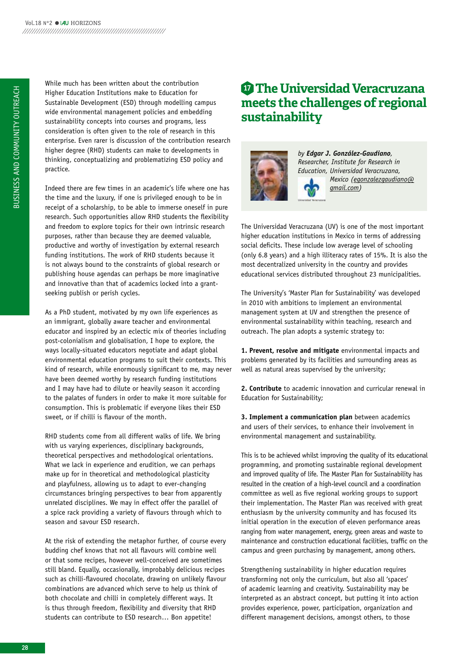While much has been written about the contribution higher Education Institutions make to Education for Sustainable Development (ESD) through modelling campus wide environmental management policies and embedding sustainability concepts into courses and programs, less consideration is often given to the role of research in this enterprise. Even rarer is discussion of the contribution research higher degree (RhD) students can make to developments in thinking, conceptualizing and problematizing ESD policy and practice.

Indeed there are few times in an academic's life where one has the time and the luxury, if one is privileged enough to be in receipt of a scholarship, to be able to immerse oneself in pure research. Such opportunities allow RhD students the flexibility and freedom to explore topics for their own intrinsic research purposes, rather than because they are deemed valuable, productive and worthy of investigation by external research funding institutions. The work of RhD students because it is not always bound to the constraints of global research or publishing house agendas can perhaps be more imaginative and innovative than that of academics locked into a grantseeking publish or perish cycles.

As a PhD student, motivated by my own life experiences as an immigrant, globally aware teacher and environmental educator and inspired by an eclectic mix of theories including post-colonialism and globalisation, I hope to explore, the ways locally-situated educators negotiate and adapt global environmental education programs to suit their contexts. This kind of research, while enormously significant to me, may never have been deemed worthy by research funding institutions and I may have had to dilute or heavily season it according to the palates of funders in order to make it more suitable for consumption. This is problematic if everyone likes their ESD sweet, or if chilli is flavour of the month.

RhD students come from all different walks of life. We bring with us varying experiences, disciplinary backgrounds, theoretical perspectives and methodological orientations. What we lack in experience and erudition, we can perhaps make up for in theoretical and methodological plasticity and playfulness, allowing us to adapt to ever-changing circumstances bringing perspectives to bear from apparently unrelated disciplines. We may in effect offer the parallel of a spice rack providing a variety of flavours through which to season and savour ESD research.

At the risk of extending the metaphor further, of course every budding chef knows that not all flavours will combine well or that some recipes, however well-conceived are sometimes still bland. Equally, occasionally, improbably delicious recipes such as chilli-flavoured chocolate, drawing on unlikely flavour combinations are advanced which serve to help us think of both chocolate and chilli in completely different ways. It is thus through freedom, flexibility and diversity that RhD students can contribute to ESD research… Bon appetite!

## **<sup>17</sup> The Universidad Veracruzana meets the challenges of regional sustainability**



*by Edgar J. González-Gaudiano, Researcher, Institute for Research in Education, Universidad Veracruzana, Mexico (egonzalezgaudiano@ gmail.com)* 

The Universidad Veracruzana (UV) is one of the most important higher education institutions in Mexico in terms of addressing social deficits. These include low average level of schooling (only 6.8 years) and a high illiteracy rates of 15%. It is also the most decentralized university in the country and provides educational services distributed throughout 23 municipalities.

The University's 'Master Plan for Sustainability' was developed in 2010 with ambitions to implement an environmental management system at UV and strengthen the presence of environmental sustainability within teaching, research and outreach. The plan adopts a systemic strategy to:

**1. Prevent, resolve and mitigate** environmental impacts and problems generated by its facilities and surrounding areas as well as natural areas supervised by the university;

**2. Contribute** to academic innovation and curricular renewal in Education for Sustainability;

**3. Implement a communication plan** between academics and users of their services, to enhance their involvement in environmental management and sustainability.

This is to be achieved whilst improving the quality of its educational programming, and promoting sustainable regional development and improved quality of life. The Master Plan for Sustainability has resulted in the creation of a high-level council and a coordination committee as well as five regional working groups to support their implementation. The Master Plan was received with great enthusiasm by the university community and has focused its initial operation in the execution of eleven performance areas ranging from water management, energy, green areas and waste to maintenance and construction educational facilities, traffic on the campus and green purchasing by management, among others.

Strengthening sustainability in higher education requires transforming not only the curriculum, but also all 'spaces' of academic learning and creativity. Sustainability may be interpreted as an abstract concept, but putting it into action provides experience, power, participation, organization and different management decisions, amongst others, to those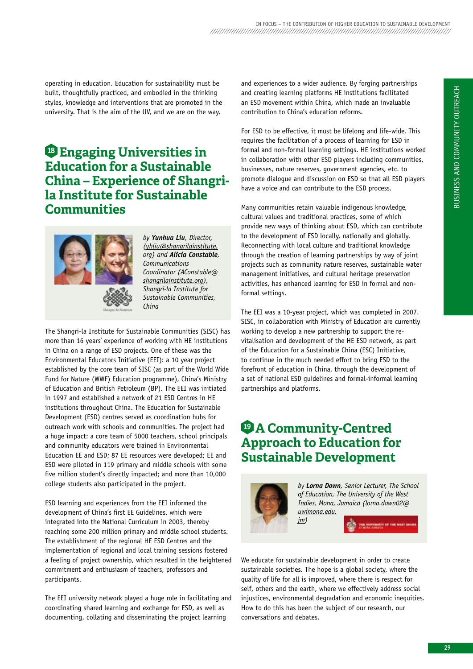operating in education. Education for sustainability must be built, thoughtfully practiced, and embodied in the thinking styles, knowledge and interventions that are promoted in the university. That is the aim of the UV, and we are on the way.

## **<sup>18</sup> Engaging Universities in Education for a Sustainable China – Experience of Shangrila Institute for Sustainable Communities**



*by Yunhua Liu, Director, (yhliu@shangrilainstitute. org) and Alicia Constable, Communications Coordinator (AConstable@ shangrilainstitute.org), Shangri-la Institute for Sustainable Communities, China*

The Shangri-la Institute for Sustainable Communities (SISC) has more than 16 years' experience of working with hE institutions in China on a range of ESD projects. One of these was the Environmental Educators Initiative (EEI): a 10 year project established by the core team of SISC (as part of the World Wide Fund for Nature (WWF) Education programme), China's Ministry of Education and British Petroleum (BP). The EEI was initiated in 1997 and established a network of 21 ESD Centres in hE institutions throughout China. The Education for Sustainable Development (ESD) centres served as coordination hubs for outreach work with schools and communities. The project had a huge impact: a core team of 5000 teachers, school principals and community educators were trained in Environmental Education EE and ESD; 87 EE resources were developed; EE and ESD were piloted in 119 primary and middle schools with some five million student's directly impacted; and more than 10,000 college students also participated in the project.

ESD learning and experiences from the EEI informed the development of China's first EE Guidelines, which were integrated into the National Curriculum in 2003, thereby reaching some 200 million primary and middle school students. The establishment of the regional HE ESD Centres and the implementation of regional and local training sessions fostered a feeling of project ownership, which resulted in the heightened commitment and enthusiasm of teachers, professors and participants.

The EEI university network played a huge role in facilitating and coordinating shared learning and exchange for ESD, as well as documenting, collating and disseminating the project learning

and experiences to a wider audience. By forging partnerships and creating learning platforms hE institutions facilitated an ESD movement within China, which made an invaluable contribution to China's education reforms.

For ESD to be effective, it must be lifelong and life-wide. This requires the facilitation of a process of learning for ESD in formal and non-formal learning settings. hE institutions worked in collaboration with other ESD players including communities, businesses, nature reserves, government agencies, etc. to promote dialogue and discussion on ESD so that all ESD players have a voice and can contribute to the ESD process.

Many communities retain valuable indigenous knowledge, cultural values and traditional practices, some of which provide new ways of thinking about ESD, which can contribute to the development of ESD locally, nationally and globally. Reconnecting with local culture and traditional knowledge through the creation of learning partnerships by way of joint projects such as community nature reserves, sustainable water management initiatives, and cultural heritage preservation activities, has enhanced learning for ESD in formal and nonformal settings.

The EEI was a 10-year project, which was completed in 2007. SISC, in collaboration with Ministry of Education are currently working to develop a new partnership to support the revitalisation and development of the hE ESD network, as part of the Education for a Sustainable China (ESC) Initiative, to continue in the much needed effort to bring ESD to the forefront of education in China, through the development of a set of national ESD guidelines and formal-informal learning partnerships and platforms.

## **<sup>19</sup> A Community-Centred Approach to Education for Sustainable Development**



*by Lorna Down, Senior Lecturer, The School of Education, The University of the West Indies, Mona, Jamaica (lorna.down02@ uwimona.edu. jm)* 

We educate for sustainable development in order to create sustainable societies. The hope is a global society, where the quality of life for all is improved, where there is respect for self, others and the earth, where we effectively address social injustices, environmental degradation and economic inequities. how to do this has been the subject of our research, our conversations and debates.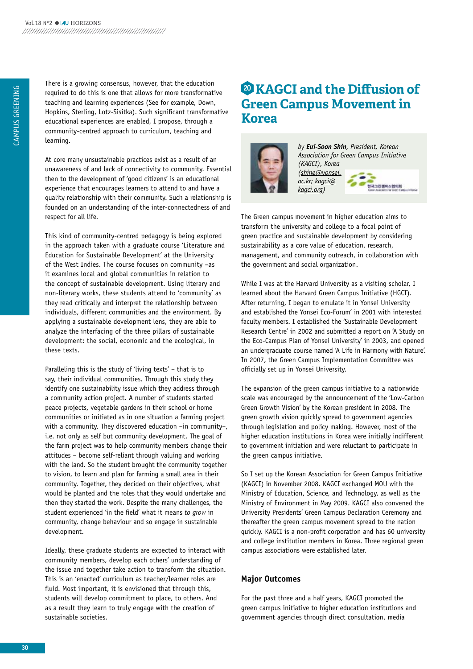There is a growing consensus, however, that the education required to do this is one that allows for more transformative teaching and learning experiences (See for example, Down, hopkins, Sterling, Lotz-Sisitka). Such significant transformative educational experiences are enabled, I propose, through a community-centred approach to curriculum, teaching and learning.

At core many unsustainable practices exist as a result of an unawareness of and lack of connectivity to community. Essential then to the development of 'good citizens' is an educational experience that encourages learners to attend to and have a quality relationship with their community. Such a relationship is founded on an understanding of the inter-connectedness of and respect for all life.

This kind of community-centred pedagogy is being explored in the approach taken with a graduate course 'Literature and Education for Sustainable Development' at the University of the West Indies. The course focuses on community –as it examines local and global communities in relation to the concept of sustainable development. Using literary and non-literary works, these students attend to 'community' as they read critically and interpret the relationship between individuals, different communities and the environment. By applying a sustainable development lens, they are able to analyze the interfacing of the three pillars of sustainable development: the social, economic and the ecological, in these texts.

Paralleling this is the study of 'living texts' – that is to say, their individual communities. Through this study they identify one sustainability issue which they address through a community action project. A number of students started peace projects, vegetable gardens in their school or home communities or initiated as in one situation a farming project with a community. They discovered education –in community–, i.e. not only as self but community development. The goal of the farm project was to help community members change their attitudes – become self-reliant through valuing and working with the land. So the student brought the community together to vision, to learn and plan for farming a small area in their community. Together, they decided on their objectives, what would be planted and the roles that they would undertake and then they started the work. Despite the many challenges, the student experienced 'in the field' what it means *to grow* in community, change behaviour and so engage in sustainable development.

Ideally, these graduate students are expected to interact with community members, develop each others' understanding of the issue and together take action to transform the situation. This is an 'enacted' curriculum as teacher/learner roles are fluid. Most important, it is envisioned that through this, students will develop commitment to place, to others. And as a result they learn to truly engage with the creation of sustainable societies.

## **<sup>20</sup> KAgCI and the Diffusion of Green Campus Movement in Korea**



*by Eui-Soon Shin, President, Korean Association for Green Campus Initiative (KAGCI), Korea (shine@yonsei. ac.kr; kagci@ kagci.org)*



The Green campus movement in higher education aims to transform the university and college to a focal point of green practice and sustainable development by considering sustainability as a core value of education, research, management, and community outreach, in collaboration with the government and social organization.

While I was at the Harvard University as a visiting scholar, I learned about the harvard Green Campus Initiative (hGCI). After returning, I began to emulate it in Yonsei University and established the Yonsei Eco-Forum' in 2001 with interested faculty members. I established the 'Sustainable Development Research Centre' in 2002 and submitted a report on 'A Study on the Eco-Campus Plan of Yonsei University' in 2003, and opened an undergraduate course named 'A Life in harmony with Nature'. In 2007, the Green Campus Implementation Committee was officially set up in Yonsei University.

The expansion of the green campus initiative to a nationwide scale was encouraged by the announcement of the 'Low-Carbon Green Growth Vision' by the korean president in 2008. The green growth vision quickly spread to government agencies through legislation and policy making. however, most of the higher education institutions in korea were initially indifferent to government initiation and were reluctant to participate in the green campus initiative.

So I set up the korean Association for Green Campus Initiative (kAGCI) in November 2008. kAGCI exchanged MOU with the Ministry of Education, Science, and Technology, as well as the Ministry of Environment in May 2009. kAGCI also convened the University Presidents' Green Campus Declaration Ceremony and thereafter the green campus movement spread to the nation quickly. kAGCI is a non-profit corporation and has 60 university and college institution members in korea. Three regional green campus associations were established later.

## **Major Outcomes**

For the past three and a half years, kAGCI promoted the green campus initiative to higher education institutions and government agencies through direct consultation, media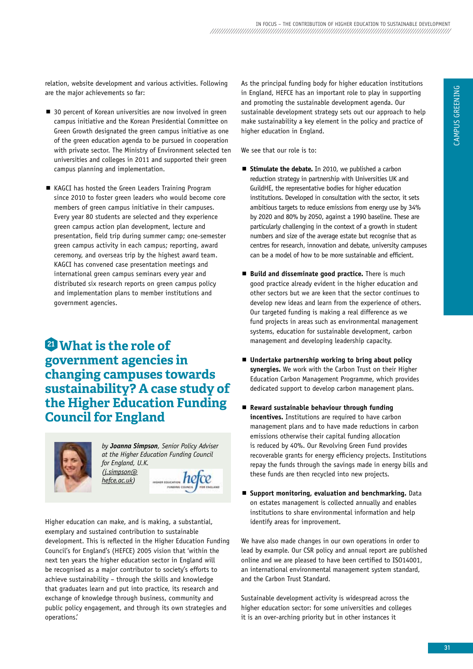relation, website development and various activities. Following are the major achievements so far:

- 30 percent of Korean universities are now involved in green campus initiative and the korean Presidential Committee on Green Growth designated the green campus initiative as one of the green education agenda to be pursued in cooperation with private sector. The Ministry of Environment selected ten universities and colleges in 2011 and supported their green campus planning and implementation.
- KAGCI has hosted the Green Leaders Training Program since 2010 to foster green leaders who would become core members of green campus initiative in their campuses. Every year 80 students are selected and they experience green campus action plan development, lecture and presentation, field trip during summer camp; one-semester green campus activity in each campus; reporting, award ceremony, and overseas trip by the highest award team. kAGCI has convened case presentation meetings and international green campus seminars every year and distributed six research reports on green campus policy and implementation plans to member institutions and government agencies.

## **<sup>21</sup> What is the role of government agencies in changing campuses towards sustainability? A case study of the Higher Education Funding Council for England**



*by Joanna Simpson, Senior Policy Adviser at the Higher Education Funding Council for England, U.K. (j.simpson@*  $here$  hefce *hefce.ac.uk)* 

higher education can make, and is making, a substantial, exemplary and sustained contribution to sustainable development. This is reflected in the higher Education Funding Council's for England's (hEFCE) 2005 vision that 'within the next ten years the higher education sector in England will be recognised as a major contributor to society's efforts to achieve sustainability – through the skills and knowledge that graduates learn and put into practice, its research and exchange of knowledge through business, community and public policy engagement, and through its own strategies and operations.'

As the principal funding body for higher education institutions in England, hEFCE has an important role to play in supporting and promoting the sustainable development agenda. Our sustainable development strategy sets out our approach to help make sustainability a key element in the policy and practice of higher education in England.

We see that our role is to:

- **Stimulate the debate.** In 2010, we published a carbon reduction strategy in partnership with Universities Uk and GuildhE, the representative bodies for higher education institutions. Developed in consultation with the sector, it sets ambitious targets to reduce emissions from energy use by 34% by 2020 and 80% by 2050, against a 1990 baseline. These are particularly challenging in the context of a growth in student numbers and size of the average estate but recognise that as centres for research, innovation and debate, university campuses can be a model of how to be more sustainable and efficient.
- **Build and disseminate good practice.** There is much good practice already evident in the higher education and other sectors but we are keen that the sector continues to develop new ideas and learn from the experience of others. Our targeted funding is making a real difference as we fund projects in areas such as environmental management systems, education for sustainable development, carbon management and developing leadership capacity.
- **Undertake partnership working to bring about policy**  synergies. We work with the Carbon Trust on their Higher Education Carbon Management Programme, which provides dedicated support to develop carbon management plans.
- **Reward sustainable behaviour through funding incentives.** Institutions are required to have carbon management plans and to have made reductions in carbon emissions otherwise their capital funding allocation is reduced by 40%. Our Revolving Green Fund provides recoverable grants for energy efficiency projects. Institutions repay the funds through the savings made in energy bills and these funds are then recycled into new projects.
- **Support monitoring, evaluation and benchmarking.** Data on estates management is collected annually and enables institutions to share environmental information and help identify areas for improvement.

We have also made changes in our own operations in order to lead by example. Our CSR policy and annual report are published online and we are pleased to have been certified to ISO14001, an international environmental management system standard, and the Carbon Trust Standard.

Sustainable development activity is widespread across the higher education sector: for some universities and colleges it is an over-arching priority but in other instances it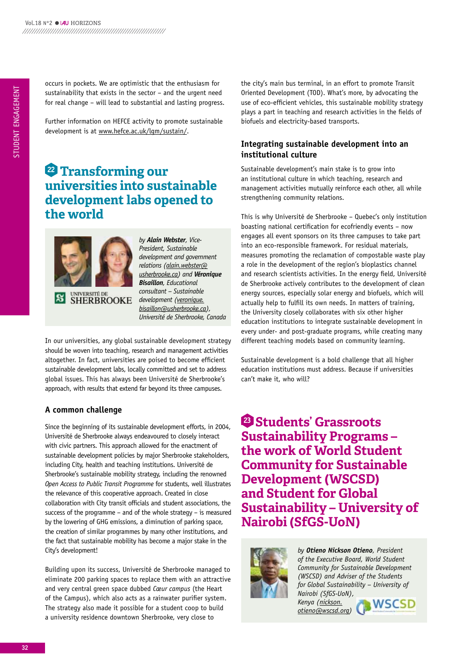occurs in pockets. We are optimistic that the enthusiasm for sustainability that exists in the sector – and the urgent need for real change – will lead to substantial and lasting progress.

Further information on hEFCE activity to promote sustainable development is at www.hefce.ac.uk/lgm/sustain/.

## **<sup>22</sup> Transforming our universities into sustainable development labs opened to the world**



UNIVERSITÉ DE<br>SHERBROOKE

*by Alain Webster, Vice-President, Sustainable development and government relations (alain.webster@ usherbrooke.ca) and Véronique Bisaillon, Educational consultant – Sustainable development (veronique. bisaillon@usherbrooke.ca), Université de Sherbrooke, Canada*

In our universities, any global sustainable development strategy should be woven into teaching, research and management activities altogether. In fact, universities are poised to become efficient sustainable development labs, locally committed and set to address global issues. This has always been Université de Sherbrooke's approach, with results that extend far beyond its three campuses.

## **A common challenge**

Since the beginning of its sustainable development efforts, in 2004, Université de Sherbrooke always endeavoured to closely interact with civic partners. This approach allowed for the enactment of sustainable development policies by major Sherbrooke stakeholders, including City, health and teaching institutions. Université de Sherbrooke's sustainable mobility strategy, including the renowned *Open Access to Public Transit Programme* for students, well illustrates the relevance of this cooperative approach. Created in close collaboration with City transit officials and student associations, the success of the programme – and of the whole strategy – is measured by the lowering of GhG emissions, a diminution of parking space, the creation of similar programmes by many other institutions, and the fact that sustainable mobility has become a major stake in the City's development!

Building upon its success, Université de Sherbrooke managed to eliminate 200 parking spaces to replace them with an attractive and very central green space dubbed *Cœur campus* (the heart of the Campus), which also acts as a rainwater purifier system. The strategy also made it possible for a student coop to build a university residence downtown Sherbrooke, very close to

the city's main bus terminal, in an effort to promote Transit Oriented Development (TOD). What's more, by advocating the use of eco-efficient vehicles, this sustainable mobility strategy plays a part in teaching and research activities in the fields of biofuels and electricity-based transports.

## **Integrating sustainable development into an institutional culture**

Sustainable development's main stake is to grow into an institutional culture in which teaching, research and management activities mutually reinforce each other, all while strengthening community relations.

This is why Université de Sherbrooke – Quebec's only institution boasting national certification for ecofriendly events – now engages all event sponsors on its three campuses to take part into an eco-responsible framework. For residual materials, measures promoting the reclamation of compostable waste play a role in the development of the region's bioplastics channel and research scientists activities. In the energy field, Université de Sherbrooke actively contributes to the development of clean energy sources, especially solar energy and biofuels, which will actually help to fulfill its own needs. In matters of training, the University closely collaborates with six other higher education institutions to integrate sustainable development in every under- and post-graduate programs, while creating many different teaching models based on community learning.

Sustainable development is a bold challenge that all higher education institutions must address. Because if universities can't make it, who will?

**<sup>23</sup> Students' grassroots Sustainability programs – the work of World Student Community for Sustainable Development (WSCSD) and Student for global Sustainability – University of Nairobi (SfgS-UoN)**



*by Otieno Nickson Otieno, President of the Executive Board, World Student Community for Sustainable Development (WSCSD) and Adviser of the Students for Global Sustainability – University of Nairobi (SfGS-UoN), Kenya (nickson.*

*otieno@wscsd.org)* 

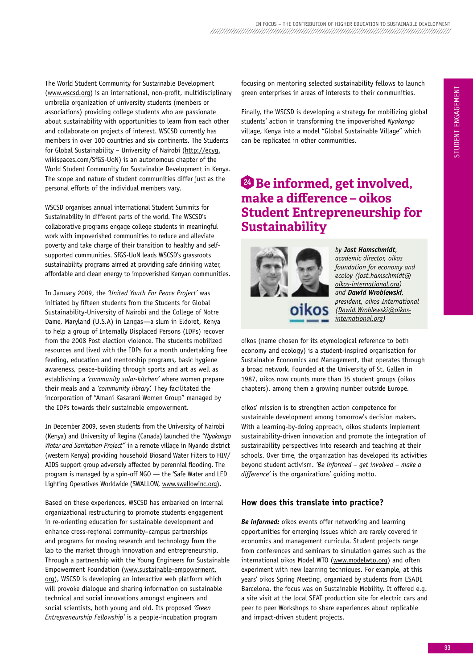The World Student Community for Sustainable Development (www.wscsd.org) is an international, non-profit, multidisciplinary umbrella organization of university students (members or associations) providing college students who are passionate about sustainability with opportunities to learn from each other and collaborate on projects of interest. WSCSD currently has members in over 100 countries and six continents. The Students for Global Sustainability – University of Nairobi (http://ecyg. wikispaces.com/SfGS-UoN) is an autonomous chapter of the World Student Community for Sustainable Development in kenya. The scope and nature of student communities differ just as the personal efforts of the individual members vary.

WSCSD organises annual international Student Summits for Sustainability in different parts of the world. The WSCSD's collaborative programs engage college students in meaningful work with impoverished communities to reduce and alleviate poverty and take charge of their transition to healthy and selfsupported communities. SfGS-UoN leads WSCSD's grassroots sustainability programs aimed at providing safe drinking water, affordable and clean energy to impoverished kenyan communities.

In January 2009, the *'United Youth For Peace Project'* was initiated by fifteen students from the Students for Global Sustainability-University of Nairobi and the College of Notre Dame, Maryland (U.S.A) in Langas—a slum in Eldoret, kenya to help a group of Internally Displaced Persons (IDPs) recover from the 2008 Post election violence. The students mobilized resources and lived with the IDPs for a month undertaking free feeding, education and mentorship programs, basic hygiene awareness, peace-building through sports and art as well as establishing a *'community solar-kitchen'* where women prepare their meals and a *'community library'.* They facilitated the incorporation of "Amani kasarani Women Group" managed by the IDPs towards their sustainable empowerment.

In December 2009, seven students from the University of Nairobi (kenya) and University of Regina (Canada) launched the *"Nyakongo Water and Sanitation Project"* in a remote village in Nyando district (western kenya) providing household Biosand Water Filters to hIV/ AIDS support group adversely affected by perennial flooding. The program is managed by a spin-off NGO — the 'Safe Water and LED Lighting Operatives Worldwide (SWALLOW, www.swallowinc.org).

Based on these experiences, WSCSD has embarked on internal organizational restructuring to promote students engagement in re-orienting education for sustainable development and enhance cross-regional community–campus partnerships and programs for moving research and technology from the lab to the market through innovation and entrepreneurship. Through a partnership with the Young Engineers for Sustainable Empowerment Foundation (www.sustainable-empowerment. org), WSCSD is developing an interactive web platform which will provoke dialogue and sharing information on sustainable technical and social innovations amongst engineers and social scientists, both young and old. Its proposed *'Green Entrepreneurship Fellowship'* is a people-incubation program

focusing on mentoring selected sustainability fellows to launch green enterprises in areas of interests to their communities.

Finally, the WSCSD is developing a strategy for mobilizing global students' action in transforming the impoverished *Nyakongo* village, kenya into a model "Global Sustainable Village" which can be replicated in other communities.

## **<sup>24</sup> be informed, get involved, make a difference – oikos Student Entrepreneurship for Sustainability**



*by Jost Hamschmidt, academic director, oikos foundation for economy and ecoloy (jost.hamschmidt@ oikos-international.org) and Dawid Wroblewski, president, oikos International (Dawid.Wroblewski@oikosinternational.org)* 

oikos (name chosen for its etymological reference to both economy and ecology) is a student-inspired organisation for Sustainable Economics and Management, that operates through a broad network. Founded at the University of St. Gallen in 1987, oikos now counts more than 35 student groups (oikos chapters), among them a growing number outside Europe.

oikos' mission is to strengthen action competence for sustainable development among tomorrow's decision makers. With a learning-by-doing approach, oikos students implement sustainability-driven innovation and promote the integration of sustainability perspectives into research and teaching at their schools. Over time, the organization has developed its activities beyond student activism. *'Be informed – get involved – make a difference'* is the organizations' guiding motto.

## **How does this translate into practice?**

*Be informed:* oikos events offer networking and learning opportunities for emerging issues which are rarely covered in economics and management curricula. Student projects range from conferences and seminars to simulation games such as the international oikos Model WTO (www.modelwto.org) and often experiment with new learning techniques. For example, at this years' oikos Spring Meeting, organized by students from ESADE Barcelona, the focus was on Sustainable Mobility. It offered e.g. a site visit at the local SEAT production site for electric cars and peer to peer Workshops to share experiences about replicable and impact-driven student projects.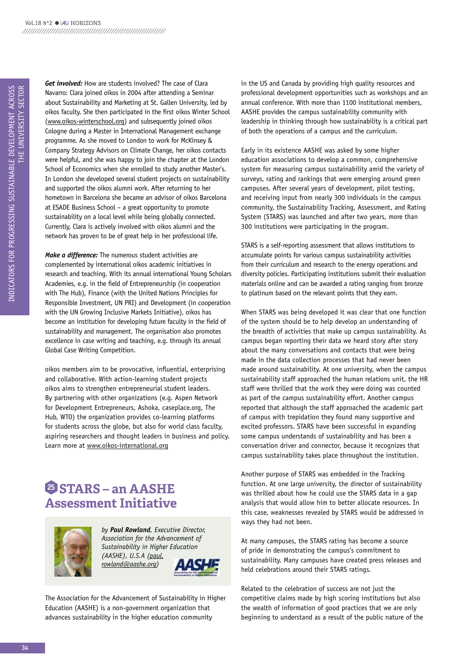*Get involved:* how are students involved? The case of Clara Navarro: Clara joined oikos in 2004 after attending a Seminar about Sustainability and Marketing at St. Gallen University, led by oikos faculty. She then participated in the first oikos Winter School (www.oikos-winterschool.org) and subsequently joined oikos Cologne during a Master in International Management exchange programme. As she moved to London to work for Mckinsey & Company Strategy Advisors on Climate Change, her oikos contacts were helpful, and she was happy to join the chapter at the London School of Economics when she enrolled to study another Master's. In London she developed several student projects on sustainability and supported the oikos alumni work. After returning to her hometown in Barcelona she became an advisor of oikos Barcelona at ESADE Business School – a great opportunity to promote sustainability on a local level while being globally connected. Currently, Clara is actively involved with oikos alumni and the network has proven to be of great help in her professional life.

*Make a difference:* The numerous student activities are complemented by international oikos academic initiatives in research and teaching. With its annual international Young Scholars Academies, e.g. in the field of Entrepreneurship (in cooperation with The hub), Finance (with the United Nations Principles for Responsible Investment, UN PRI) and Development (in cooperation with the UN Growing Inclusive Markets Initiative), oikos has become an institution for developing future faculty in the field of sustainability and management. The organisation also promotes excellence in case writing and teaching, e.g. through its annual Global Case Writing Competition.

oikos members aim to be provocative, influential, enterprising and collaborative. With action-learning student projects oikos aims to strengthen entrepreneurial student leaders. By partnering with other organizations (e.g. Aspen Network for Development Entrepreneurs, Ashoka, caseplace.org, The Hub, WTO) the organization provides co-learning platforms for students across the globe, but also for world class faculty, aspiring researchers and thought leaders in business and policy. Learn more at www.oikos-international.org

## **<sup>25</sup> STArS – an AASHE Assessment Initiative**



*by Paul Rowland, Executive Director, Association for the Advancement of Sustainability in Higher Education (AASHE), U.S.A (paul. rowland@aashe.org)* 

The Association for the Advancement of Sustainability in higher Education (AAShE) is a non-government organization that advances sustainability in the higher education community

in the US and Canada by providing high quality resources and professional development opportunities such as workshops and an annual conference. With more than 1100 institutional members, AAShE provides the campus sustainability community with leadership in thinking through how sustainability is a critical part of both the operations of a campus and the curriculum.

Early in its existence AAShE was asked by some higher education associations to develop a common, comprehensive system for measuring campus sustainability amid the variety of surveys, rating and rankings that were emerging around green campuses. After several years of development, pilot testing, and receiving input from nearly 300 individuals in the campus community, the Sustainability Tracking, Assessment, and Rating System (STARS) was launched and after two years, more than 300 institutions were participating in the program.

STARS is a self-reporting assessment that allows institutions to accumulate points for various campus sustainability activities from their curriculum and research to the energy operations and diversity policies. Participating institutions submit their evaluation materials online and can be awarded a rating ranging from bronze to platinum based on the relevant points that they earn.

When STARS was being developed it was clear that one function of the system should be to help develop an understanding of the breadth of activities that make up campus sustainability. As campus began reporting their data we heard story after story about the many conversations and contacts that were being made in the data collection processes that had never been made around sustainability. At one university, when the campus sustainability staff approached the human relations unit, the hR staff were thrilled that the work they were doing was counted as part of the campus sustainability effort. Another campus reported that although the staff approached the academic part of campus with trepidation they found many supportive and excited professors. STARS have been successful in expanding some campus understands of sustainability and has been a conversation driver and connector, because it recognizes that campus sustainability takes place throughout the institution.

Another purpose of STARS was embedded in the Tracking function. At one large university, the director of sustainability was thrilled about how he could use the STARS data in a gap analysis that would allow him to better allocate resources. In this case, weaknesses revealed by STARS would be addressed in ways they had not been.

At many campuses, the STARS rating has become a source of pride in demonstrating the campus's commitment to sustainability. Many campuses have created press releases and held celebrations around their STARS ratings.

Related to the celebration of success are not just the competitive claims made by high scoring institutions but also the wealth of information of good practices that we are only beginning to understand as a result of the public nature of the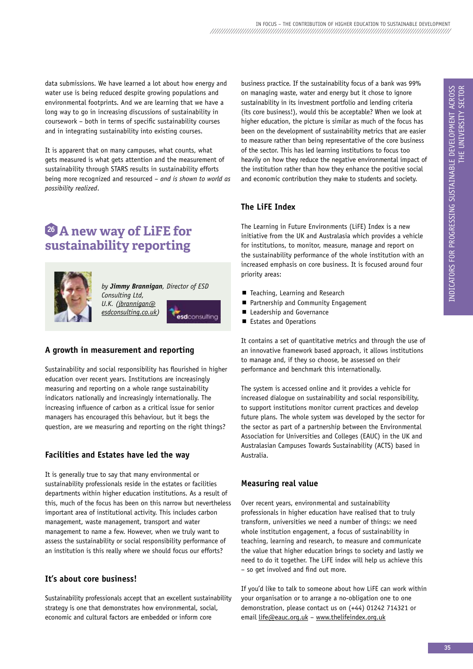data submissions. We have learned a lot about how energy and water use is being reduced despite growing populations and environmental footprints. And we are learning that we have a long way to go in increasing discussions of sustainability in coursework – both in terms of specific sustainability courses and in integrating sustainability into existing courses.

It is apparent that on many campuses, what counts, what gets measured is what gets attention and the measurement of sustainability through STARS results in sustainability efforts being more recognized and resourced – *and is shown to world as possibility realized*.

## **<sup>26</sup> A new way of liFE for sustainability reporting**



*by Jimmy Brannigan, Director of ESD Consulting Ltd,* 

esdconsulting

*U.K. (jbrannigan@ esdconsulting.co.uk)*

**A growth in measurement and reporting**

Sustainability and social responsibility has flourished in higher education over recent years. Institutions are increasingly measuring and reporting on a whole range sustainability indicators nationally and increasingly internationally. The increasing influence of carbon as a critical issue for senior managers has encouraged this behaviour, but it begs the question, are we measuring and reporting on the right things?

## **Facilities and Estates have led the way**

It is generally true to say that many environmental or sustainability professionals reside in the estates or facilities departments within higher education institutions. As a result of this, much of the focus has been on this narrow but nevertheless important area of institutional activity. This includes carbon management, waste management, transport and water management to name a few. however, when we truly want to assess the sustainability or social responsibility performance of an institution is this really where we should focus our efforts?

## **It's about core business!**

Sustainability professionals accept that an excellent sustainability strategy is one that demonstrates how environmental, social, economic and cultural factors are embedded or inform core

business practice. If the sustainability focus of a bank was 99% on managing waste, water and energy but it chose to ignore sustainability in its investment portfolio and lending criteria (its core business!), would this be acceptable? When we look at higher education, the picture is similar as much of the focus has been on the development of sustainability metrics that are easier to measure rather than being representative of the core business of the sector. This has led learning institutions to focus too heavily on how they reduce the negative environmental impact of the institution rather than how they enhance the positive social and economic contribution they make to students and society.

## **The liFE Index**

The Learning in Future Environments (LiFE) Index is a new initiative from the Uk and Australasia which provides a vehicle for institutions, to monitor, measure, manage and report on the sustainability performance of the whole institution with an increased emphasis on core business. It is focused around four priority areas:

- Teaching, Learning and Research
- Partnership and Community Engagement
- Leadership and Governance
- Estates and Operations

It contains a set of quantitative metrics and through the use of an innovative framework based approach, it allows institutions to manage and, if they so choose, be assessed on their performance and benchmark this internationally.

The system is accessed online and it provides a vehicle for increased dialogue on sustainability and social responsibility, to support institutions monitor current practices and develop future plans. The whole system was developed by the sector for the sector as part of a partnership between the Environmental Association for Universities and Colleges (EAUC) in the Uk and Australasian Campuses Towards Sustainability (ACTS) based in Australia.

## **Measuring real value**

Over recent years, environmental and sustainability professionals in higher education have realised that to truly transform, universities we need a number of things: we need whole institution engagement, a focus of sustainability in teaching, learning and research, to measure and communicate the value that higher education brings to society and lastly we need to do it together. The LiFE index will help us achieve this – so get involved and find out more.

If you'd like to talk to someone about how LiFE can work within your organisation or to arrange a no-obligation one to one demonstration, please contact us on (+44) 01242 714321 or email life@eauc.org.uk – www.thelifeindex.org.uk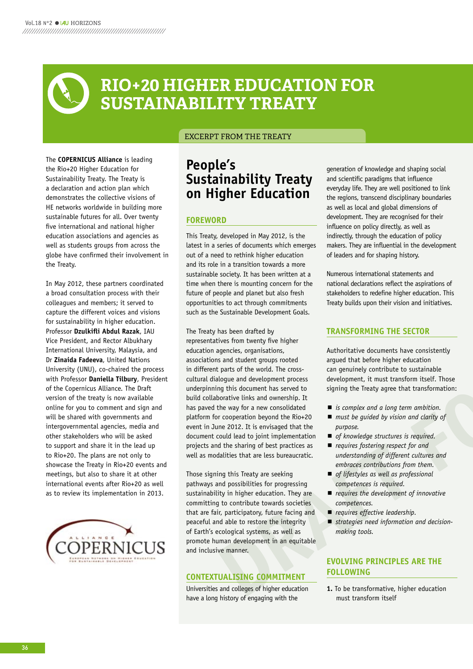

### ExCERpT FROM THE TREATY

The **COPERNICUS Alliance** is leading the Rio+20 higher Education for Sustainability Treaty. The Treaty is a declaration and action plan which demonstrates the collective visions of hE networks worldwide in building more sustainable futures for all. Over twenty five international and national higher education associations and agencies as well as students groups from across the globe have confirmed their involvement in the Treaty.

In May 2012, these partners coordinated a broad consultation process with their colleagues and members; it served to capture the different voices and visions for sustainability in higher education. Professor **Dzulkifli Abdul Razak**, IAU Vice President, and Rector Albukhary International University, Malaysia, and Dr **zinaida Fadeeva**, United Nations University (UNU), co-chaired the process with Professor **Daniella Tilbury**, President of the Copernicus Alliance. The Draft version of the treaty is now available online for you to comment and sign and will be shared with governments and intergovernmental agencies, media and other stakeholders who will be asked to support and share it in the lead up to Rio+20. The plans are not only to showcase the Treaty in Rio+20 events and meetings, but also to share it at other international events after Rio+20 as well as to review its implementation in 2013.



## **People's Sustainability Treaty on Higher Education**

### **FOREWORD**

This Treaty, developed in May 2012, is the latest in a series of documents which emerges out of a need to rethink higher education and its role in a transition towards a more sustainable society. It has been written at a time when there is mounting concern for the future of people and planet but also fresh opportunities to act through commitments such as the Sustainable Development Goals.

**Example 16 the state of the state of the state of the state of the state of the state of the state of the state of the state of the state of the state of the state of the state of the state of the state of the state of th** The Treaty has been drafted by representatives from twenty five higher education agencies, organisations, associations and student groups rooted in different parts of the world. The crosscultural dialogue and development process underpinning this document has served to build collaborative links and ownership. It has paved the way for a new consolidated platform for cooperation beyond the Rio+20 event in June 2012. It is envisaged that the document could lead to joint implementation projects and the sharing of best practices as well as modalities that are less bureaucratic.

Those signing this Treaty are seeking pathways and possibilities for progressing sustainability in higher education. They are committing to contribute towards societies that are fair, participatory, future facing and peaceful and able to restore the integrity of Earth's ecological systems, as well as promote human development in an equitable and inclusive manner.

### **CONTExTUAlISING COMMITMENT**

Universities and colleges of higher education have a long history of engaging with the

generation of knowledge and shaping social and scientific paradigms that influence everyday life. They are well positioned to link the regions, transcend disciplinary boundaries as well as local and global dimensions of development. They are recognised for their influence on policy directly, as well as indirectly, through the education of policy makers. They are influential in the development of leaders and for shaping history.

Numerous international statements and national declarations reflect the aspirations of stakeholders to redefine higher education. This Treaty builds upon their vision and initiatives.

### **TRANSFORMING THE SECTOR**

Authoritative documents have consistently argued that before higher education can genuinely contribute to sustainable development, it must transform itself. Those signing the Treaty agree that transformation:

- *is complex and a long term ambition.*
- *must be quided by vision and clarity of purpose.*
- *of knowledge structures is required.*
- *requires fostering respect for and understanding of different cultures and embraces contributions from them.*
- *of lifestyles as well as professional competences is required.*
- *requires the development of innovative competences.*
- *requires effective leadership.*
- *strategies need information and decisionmaking tools.*

## **EvOlvING PRINCIPlES ARE THE FOllOWING**

**1.** To be transformative, higher education must transform itself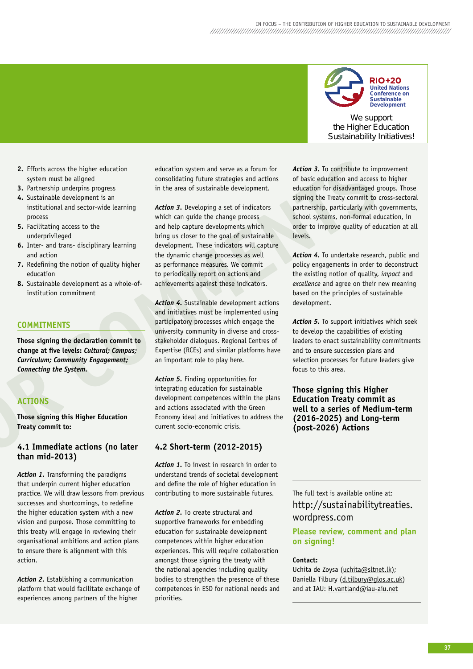

**RIO+20 United Nations Conference on Sustainable Development**

We support the Higher Education Sustainability Initiatives!

- **2.** Efforts across the higher education system must be aligned
- **3.** Partnership underpins progress
- **4.** Sustainable development is an institutional and sector-wide learning process
- **5.** Facilitating access to the underprivileged
- **6.** Inter- and trans- disciplinary learning and action
- **7.** Redefining the notion of quality higher education
- **8.** Sustainable development as a whole-ofinstitution commitment

### **COMMITMENTS**

**Those signing the declaration commit to change at five levels:** *Cultural; Campus; Curriculum; Community Engagement; Connecting the System.*

### **ACTIONS**

**Those signing this Higher Education Treaty commit to:**

### **4.1 Immediate actions (no later than mid-2013)**

2. Efterna amous the higher education optimization spin and service is a formula of defined 3. The comments in the comments in the comments of the comments of the comments of the comments of the comments of the comments of *Action 1.* Transforming the paradigms that underpin current higher education practice. We will draw lessons from previous successes and shortcomings, to redefine the higher education system with a new vision and purpose. Those committing to this treaty will engage in reviewing their organisational ambitions and action plans to ensure there is alignment with this action.

*Action 2.* Establishing a communication platform that would facilitate exchange of experiences among partners of the higher

education system and serve as a forum for consolidating future strategies and actions in the area of sustainable development.

*Action 3.* Developing a set of indicators which can guide the change process and help capture developments which bring us closer to the goal of sustainable development. These indicators will capture the dynamic change processes as well as performance measures. We commit to periodically report on actions and achievements against these indicators.

*Action 4.* Sustainable development actions and initiatives must be implemented using participatory processes which engage the university community in diverse and crossstakeholder dialogues. Regional Centres of Expertise (RCEs) and similar platforms have an important role to play here.

*Action 5.* Finding opportunities for integrating education for sustainable development competences within the plans and actions associated with the Green Economy ideal and initiatives to address the current socio-economic crisis.

### **4.2 Short-term (2012-2015)**

*Action 1.* To invest in research in order to understand trends of societal development and define the role of higher education in contributing to more sustainable futures.

*Action 2.* To create structural and supportive frameworks for embedding education for sustainable development competences within higher education experiences. This will require collaboration amongst those signing the treaty with the national agencies including quality bodies to strengthen the presence of these competences in ESD for national needs and priorities.

Action 3. To contribute to improvement of basic education and access to higher education for disadvantaged groups. Those signing the Treaty commit to cross-sectoral partnership, particularly with governments, school systems, non-formal education, in order to improve quality of education at all levels.

*Action 4.* To undertake research, public and policy engagements in order to deconstruct the existing notion of quality, *impact* and *excellence* and agree on their new meaning based on the principles of sustainable development.

*Action 5.* To support initiatives which seek to develop the capabilities of existing leaders to enact sustainability commitments and to ensure succession plans and selection processes for future leaders give focus to this area.

### **Those signing this Higher Education Treaty commit as well to a series of Medium-term (2016-2025) and long-term (post-2026) Actions**

The full text is available online at: http://sustainabilitytreaties. wordpress.com

### **Please review, comment and plan on signing!**

### **Contact:**

Uchita de zoysa (uchita@sltnet.lk); Daniella Tilbury (d.tilbury@glos.ac.uk) and at IAU: H.vantland@iau-aiu.net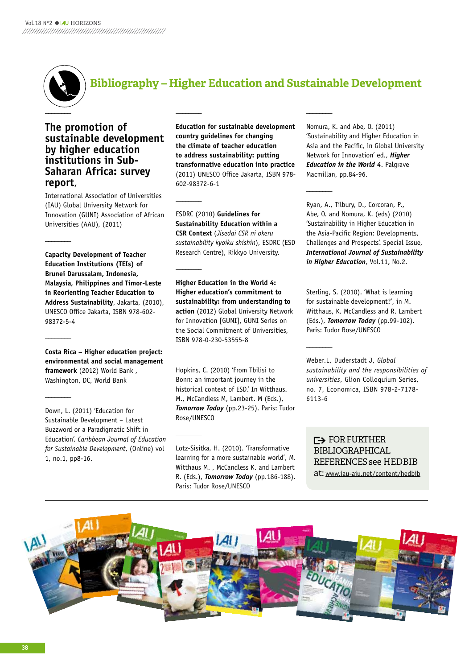

## **The promotion of sustainable development by higher education institutions in Sub-Saharan Africa: survey report**,

International Association of Universities (IAU) Global University Network for Innovation (GUNI) Association of African Universities (AAU), (2011)

**\_\_\_\_\_\_\_\_**

**\_\_\_\_\_\_\_\_**

**\_\_\_\_\_\_\_\_**

**Capacity Development of Teacher Education Institutions (TEIs) of brunei Darussalam, Indonesia, Malaysia, Philippines and Timor-leste in Reorienting Teacher Education to Address Sustainability**, Jakarta, (2010), UNESCO Office Jakarta, ISBN 978-602- 98372-5-4

**Costa Rica – Higher education project: environmental and social management framework** (2012) World Bank , Washington, DC, World Bank

Down, L. (2011) 'Education for Sustainable Development – Latest Buzzword or a Paradigmatic Shift in Education'. *Caribbean Journal of Education for Sustainable Development*, (Online) vol 1, no.1, pp8-16.

**Education for sustainable development country guidelines for changing the climate of teacher education to address sustainability: putting transformative education into practice** (2011) UNESCO Office Jakarta, ISBN 978- 602-98372-6-1

ESDRC (2010) **Guidelines for Sustainability Education within a CSR Context** (*Jisedai CSR ni okeru sustainability kyoiku shishin*), ESDRC (ESD Research Centre), Rikkyo University.

**\_\_\_\_\_\_\_\_**

**\_\_\_\_\_\_\_\_**

**\_\_\_\_\_\_\_\_**

**\_\_\_\_\_\_\_\_**

**Higher Education in the World 4: Higher education's commitment to sustainability: from understanding to action** (2012) Global University Network for Innovation [GUNI], GUNI Series on the Social Commitment of Universities, ISBN 978-0-230-53555-8

hopkins, C. (2010) 'From Tbilisi to Bonn: an important journey in the historical context of ESD.' In Witthaus. M., McCandless M, Lambert. M (Eds.), *Tomorrow Today* (pp.23-25). Paris: Tudor Rose/UNESCO

Lotz-Sisitka, h. (2010). 'Transformative learning for a more sustainable world', M. Witthaus M. , McCandless K. and Lambert R. (Eds.), *Tomorrow Today* (pp.186-188). Paris: Tudor Rose/UNESCO

Nomura, k. and Abe, O. (2011) 'Sustainability and higher Education in Asia and the Pacific, in Global University Network for Innovation' ed., *Higher Education in the World 4*. Palgrave Macmillan, pp.84-96.

**\_\_\_\_\_\_\_\_**

**\_\_\_\_\_\_\_\_**

**\_\_\_\_\_\_\_\_**

Ryan, A., Tilbury, D., Corcoran, P., Abe, O. and Nomura, k. (eds) (2010) 'Sustainability in higher Education in the Asia-Pacific Region: Developments, Challenges and Prospects'. Special Issue, *International Journal of Sustainability in Higher Education*, Vol.11, No.2.

Sterling, S. (2010). 'What is learning for sustainable development?', in M. Witthaus, k. McCandless and R. Lambert (Eds.), *Tomorrow Today* (pp.99-102). Paris: Tudor Rose/UNESCO

Weber.L, Duderstadt J, *Global sustainability and the responsibilities of universities*, Glion Colloquium Series, no. 7, Economica, ISBN 978-2-7178- 6113-6

**F**> FOR FURTHER bIbLIOGRApHICAL REFERENCES see HEdbIb at: www.iau-aiu.net/content/hedbib

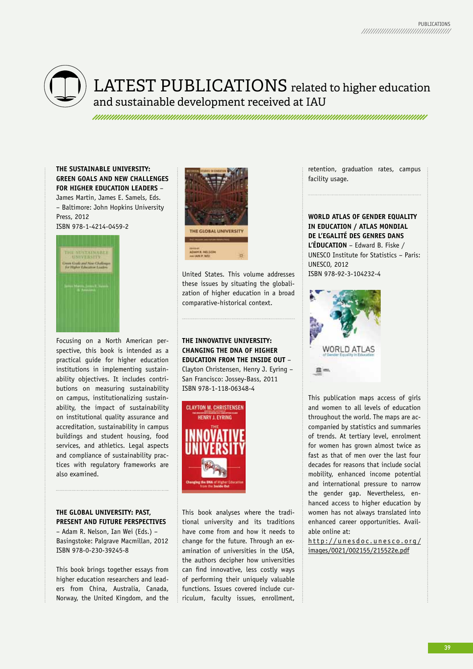

## LATEST PUBLICATIONS related to higher education and sustainable development received at IAU

### **THE SUSTAINAblE UNIvERSITy: GREEN GOAlS AND NEW CHAllENGES FOR HIGHER EDUCATION lEADERS** –

James Martin, James E. Samels, Eds. – Baltimore: John hopkins University Press, 2012 ISBN 978-1-4214-0459-2



Focusing on a North American perspective, this book is intended as a practical guide for higher education institutions in implementing sustainability objectives. It includes contributions on measuring sustainability on campus, institutionalizing sustainability, the impact of sustainability on institutional quality assurance and accreditation, sustainability in campus buildings and student housing, food services, and athletics. Legal aspects and compliance of sustainability practices with regulatory frameworks are also examined.

### **THE GlObAl UNIvERSITy: PAST, PRESENT AND FUTURE PERSPECTIvES**

– Adam R. Nelson, Ian Wei (Eds.) – Basingstoke: Palgrave Macmillan, 2012 ISBN 978-0-230-39245-8

This book brings together essays from higher education researchers and leaders from China, Australia, Canada, Norway, the United kingdom, and the



United States. This volume addresses these issues by situating the globalization of higher education in a broad comparative-historical context.

## **THE INNOvATIvE UNIvERSITy: CHANGING THE DNA OF HIGHER EDUCATION FROM THE INSIDE OUT** –

Clayton Christensen, henry J. Eyring – San Francisco: Jossey-Bass, 2011 ISBN 978-1-118-06348-4



This book analyses where the traditional university and its traditions have come from and how it needs to change for the future. Through an examination of universities in the USA, the authors decipher how universities can find innovative, less costly ways of performing their uniquely valuable functions. Issues covered include curriculum, faculty issues, enrollment,

retention, graduation rates, campus facility usage.

**WORlD ATlAS OF GENDER EQUAlITy IN EDUCATION / ATlAS MONDIAl DE l'EGAlITÉ DES GENRES DANS l'ÉDUCATION** – Edward B. Fiske / UNESCO Institute for Statistics – Paris: UNESCO, 2012 ISBN 978-92-3-104232-4



This publication maps access of girls and women to all levels of education throughout the world. The maps are accompanied by statistics and summaries of trends. At tertiary level, enrolment for women has grown almost twice as fast as that of men over the last four decades for reasons that include social mobility, enhanced income potential and international pressure to narrow the gender gap. Nevertheless, enhanced access to higher education by women has not always translated into enhanced career opportunities. Available online at:

http://unesdoc.unesco.org/ images/0021/002155/215522e.pdf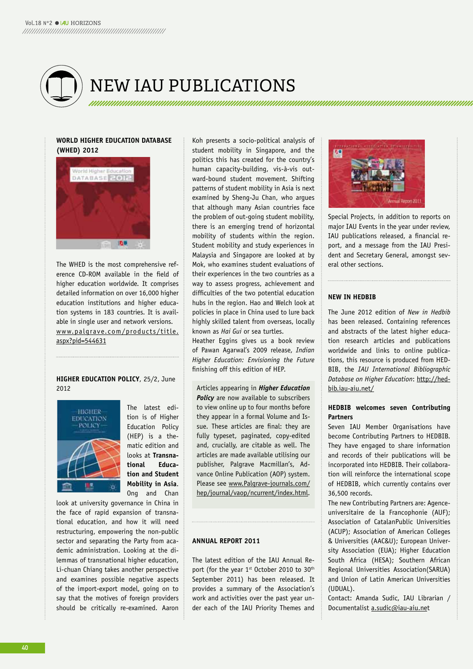

## NEW IAU pUbLICATIONS

### **WORlD HIGHER EDUCATION DATAbASE (WHED) 2012**



The WhED is the most comprehensive reference CD-ROM available in the field of higher education worldwide. It comprises detailed information on over 16,000 higher education institutions and higher education systems in 183 countries. It is available in single user and network versions. www.palgrave.com/products/title. aspx?pid=544631

### **HIGHER EDUCATION POlICy**, 25/2, June 2012



The latest edition is of higher Education Policy (hEP) is a thematic edition and looks at **Transnational Education and Student Mobility in Asia**. Ong and Chan

look at university governance in China in the face of rapid expansion of transnational education, and how it will need restructuring, empowering the non-public sector and separating the Party from academic administration. Looking at the dilemmas of transnational higher education, Li-chuan Chiang takes another perspective and examines possible negative aspects of the import-export model, going on to say that the motives of foreign providers should be critically re-examined. Aaron

koh presents a socio-political analysis of student mobility in Singapore, and the politics this has created for the country's human capacity-building, vis-à-vis outward-bound student movement. Shifting patterns of student mobility in Asia is next examined by Sheng-Ju Chan, who argues that although many Asian countries face the problem of out-going student mobility, there is an emerging trend of horizontal mobility of students within the region. Student mobility and study experiences in Malaysia and Singapore are looked at by Mok, who examines student evaluations of their experiences in the two countries as a way to assess progress, achievement and difficulties of the two potential education hubs in the region. Hao and Welch look at policies in place in China used to lure back highly skilled talent from overseas, locally known as *Hai Gui* or sea turtles.

heather Eggins gives us a book review of Pawan Agarwal's 2009 release, *Indian Higher Education: Envisioning the Future*  finishing off this edition of hEP.

Articles appearing in *Higher Education*  **Policy** are now available to subscribers to view online up to four months before they appear in a formal Volume and Issue. These articles are final: they are fully typeset, paginated, copy-edited and, crucially, are citable as well. The articles are made available utilising our publisher, Palgrave Macmillan's, Advance Online Publication (AOP) system. Please see www.Palgrave-journals.com/ hep/journal/vaop/ncurrent/index.html.

### **ANNUAl REPORT 2011**

The latest edition of the IAU Annual Report (for the year 1<sup>st</sup> October 2010 to 30<sup>th</sup> September 2011) has been released. It provides a summary of the Association's work and activities over the past year under each of the IAU Priority Themes and



Special Projects, in addition to reports on major IAU Events in the year under review, IAU publications released, a financial report, and a message from the IAU President and Secretary General, amongst several other sections.

### **NEW IN HEDbIb**

The June 2012 edition of *New in Hedbib* has been released. Containing references and abstracts of the latest higher education research articles and publications worldwide and links to online publications, this resource is produced from hED-BIB, the *IAU International Bibliographic Database on Higher Education*: http://hedbib.iau-aiu.net/

### **HEDbIb welcomes seven Contributing Partners**

Seven IAU Member Organisations have become Contributing Partners to hEDBIB. They have engaged to share information and records of their publications will be incorporated into hEDBIB. Their collaboration will reinforce the international scope of hEDBIB, which currently contains over 36,500 records.

The new Contributing Partners are: Agenceuniversitaire de la Francophonie (AUF); Association of CatalanPublic Universities (ACUP); Association of American Colleges & Universities (AAC&U); European University Association (EUA); Higher Education South Africa (hESA); Southern African Regional Universities Association(SARUA) and Union of Latin American Universities (UDUAL).

Contact: Amanda Sudic, IAU Librarian / Documentalist a.sudic@iau-aiu.net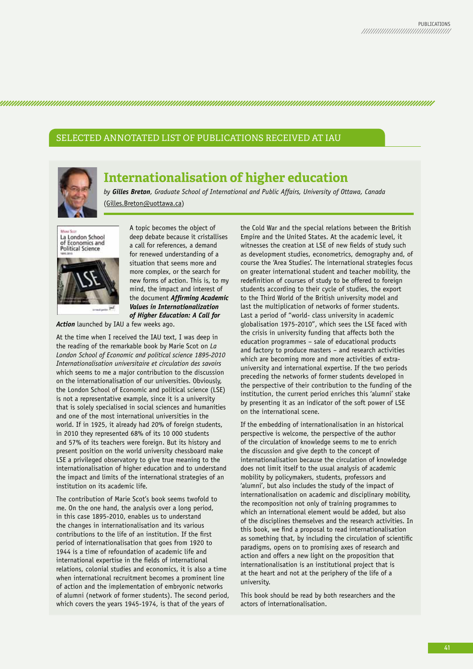SELECTEd ANNOTATEd LIST OF pUbLICATIONS RECEIvEd AT IAU



## **Internationalisation of higher education**

*by Gilles Breton, Graduate School of International and Public Affairs, University of Ottawa, Canada*  (Gilles.Breton@uottawa.ca)

La London School of Economics and **Political Science** 

A topic becomes the object of deep debate because it cristallises a call for references, a demand for renewed understanding of a situation that seems more and more complex, or the search for new forms of action. This is, to my mind, the impact and interest of the document *Affirming Academic Values in Internationalization of Higher Education: A Call for* 

*Action* launched by IAU a few weeks ago.

At the time when I received the IAU text, I was deep in the reading of the remarkable book by Marie Scot on *La London School of Economic and political science 1895-2010 Internationalisation universitaire et circulation des savoirs* which seems to me a major contribution to the discussion on the internationalisation of our universities. Obviously, the London School of Economic and political science (LSE) is not a representative example, since it is a university that is solely specialised in social sciences and humanities and one of the most international universities in the world. If in 1925, it already had 20% of foreign students, in 2010 they represented 68% of its 10 000 students and 57% of its teachers were foreign. But its history and present position on the world university chessboard make LSE a privileged observatory to give true meaning to the internationalisation of higher education and to understand the impact and limits of the international strategies of an institution on its academic life.

The contribution of Marie Scot's book seems twofold to me. On the one hand, the analysis over a long period, in this case 1895-2010, enables us to understand the changes in internationalisation and its various contributions to the life of an institution. If the first period of internationalisation that goes from 1920 to 1944 is a time of refoundation of academic life and international expertise in the fields of international relations, colonial studies and economics, it is also a time when international recruitment becomes a prominent line of action and the implementation of embryonic networks of alumni (network of former students). The second period, which covers the years 1945-1974, is that of the years of

the Cold War and the special relations between the British Empire and the United States. At the academic level, it witnesses the creation at LSE of new fields of study such as development studies, econometrics, demography and, of course the 'Area Studies'. The international strategies focus on greater international student and teacher mobility, the redefinition of courses of study to be offered to foreign students according to their cycle of studies, the export to the Third World of the British university model and last the multiplication of networks of former students. Last a period of "world- class university in academic globalisation 1975-2010", which sees the LSE faced with the crisis in university funding that affects both the education programmes – sale of educational products and factory to produce masters – and research activities which are becoming more and more activities of extrauniversity and international expertise. If the two periods preceding the networks of former students developed in the perspective of their contribution to the funding of the institution, the current period enriches this 'alumni' stake by presenting it as an indicator of the soft power of LSE on the international scene.

If the embedding of internationalisation in an historical perspective is welcome, the perspective of the author of the circulation of knowledge seems to me to enrich the discussion and give depth to the concept of internationalisation because the circulation of knowledge does not limit itself to the usual analysis of academic mobility by policymakers, students, professors and 'alumni', but also includes the study of the impact of internationalisation on academic and disciplinary mobility, the recomposition not only of training programmes to which an international element would be added, but also of the disciplines themselves and the research activities. In this book, we find a proposal to read internationalisation as something that, by including the circulation of scientific paradigms, opens on to promising axes of research and action and offers a new light on the proposition that internationalisation is an institutional project that is at the heart and not at the periphery of the life of a university.

This book should be read by both researchers and the actors of internationalisation.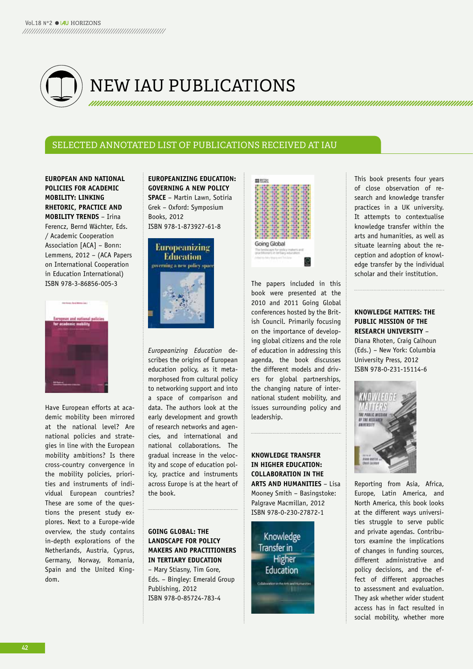

## NEW IAU pUbLICATIONS

## SELECTED ANNOTATED LIST OF PUBLICATIONS RECEIVED AT IAU

**EUROPEAN AND NATIONAl POlICIES FOR ACADEMIC MObIlITy: lINkING RHETORIC, PRACTICE AND MObIlITy TRENDS** – Irina Ferencz, Bernd Wächter, Eds. / Academic Cooperation Association [ACA] – Bonn: Lemmens, 2012 – (ACA Papers on International Cooperation in Education International) ISBN 978-3-86856-005-3



have European efforts at academic mobility been mirrored at the national level? Are national policies and strategies in line with the European mobility ambitions? Is there cross-country convergence in the mobility policies, priorities and instruments of individual European countries? These are some of the questions the present study explores. Next to a Europe-wide overview, the study contains in-depth explorations of the Netherlands, Austria, Cyprus, Germany, Norway, Romania, Spain and the United kingdom.

**EUROPEANIzING EDUCATION: GOvERNING A NEW POlICy SPACE** – Martin Lawn, Sotiria Grek – Oxford: Symposium Books, 2012 ISBN 978-1-873927-61-8



*Europeanizing Education* describes the origins of European education policy, as it metamorphosed from cultural policy to networking support and into a space of comparison and data. The authors look at the early development and growth of research networks and agencies, and international and national collaborations. The gradual increase in the velocity and scope of education policy, practice and instruments across Europe is at the heart of the book.

### **GOING GlObAl: THE lANDSCAPE FOR POlICy MAkERS AND PRACTITIONERS IN TERTIARy EDUCATION**

– Mary Stiasny, Tim Gore, Eds. – Bingley: Emerald Group Publishing, 2012 ISBN 978-0-85724-783-4



The papers included in this book were presented at the 2010 and 2011 Going Global conferences hosted by the British Council. Primarily focusing on the importance of developing global citizens and the role of education in addressing this agenda, the book discusses the different models and drivers for global partnerships, the changing nature of international student mobility, and issues surrounding policy and leadership.

**kNOWlEDGE TRANSFER IN HIGHER EDUCATION: COllAbORATION IN THE ARTS AND HUMANITIES** – Lisa Mooney Smith – Basingstoke: Palgrave Macmillan, 2012 ISBN 978-0-230-27872-1

Knowledge Transfer in Higher Education

This book presents four years of close observation of research and knowledge transfer practices in a Uk university. It attempts to contextualise knowledge transfer within the arts and humanities, as well as situate learning about the reception and adoption of knowledge transfer by the individual scholar and their institution.

**kNOWlEDGE MATTERS: THE PUblIC MISSION OF THE RESEARCH UNIvERSITy** – Diana Rhoten, Craig Calhoun (Eds.) – New York: Columbia University Press, 2012 ISBN 978-0-231-15114-6



Reporting from Asia, Africa, Europe, Latin America, and North America, this book looks at the different ways universities struggle to serve public and private agendas. Contributors examine the implications of changes in funding sources, different administrative and policy decisions, and the effect of different approaches to assessment and evaluation. They ask whether wider student access has in fact resulted in social mobility, whether more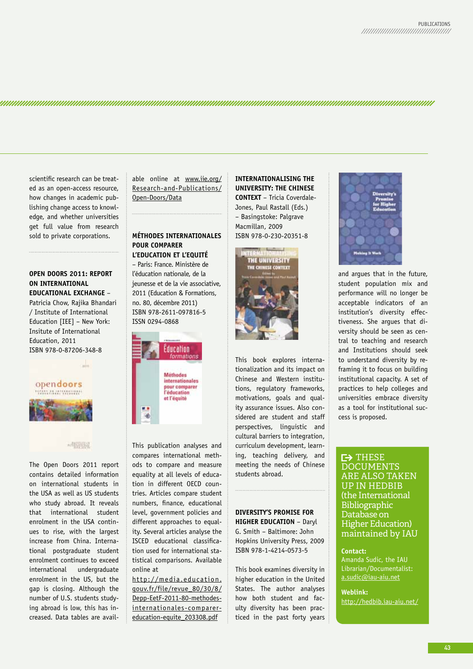scientific research can be treated as an open-access resource, how changes in academic publishing change access to knowledge, and whether universities get full value from research sold to private corporations.

### **OPEN DOORS 2011: REPORT ON INTERNATIONAl EDUCATIONAl ExCHANGE** –

Patricia Chow, Rajika Bhandari / Institute of International Education [IEE] – New York: Insitute of International Education, 2011 ISBN 978-0-87206-348-8



The Open Doors 2011 report contains detailed information on international students in the USA as well as US students who study abroad. It reveals that international student enrolment in the USA continues to rise, with the largest increase from China. International postgraduate student enrolment continues to exceed international undergraduate enrolment in the US, but the gap is closing. Although the number of U.S. students studying abroad is low, this has increased. Data tables are available online at www.iie.org/ Research-and-Publications/ Open-Doors/Data

### **MÉTHODES INTERNATIONAlES POUR COMPARER l'EDUCATION ET l'EQUITÉ**

– Paris: France. Ministère de l'éducation nationale, de la jeunesse et de la vie associative, 2011 (Education & Formations, no. 80, décembre 2011) ISBN 978-2611-097816-5 ISSN 0294-0868



This publication analyses and compares international methods to compare and measure equality at all levels of education in different OECD countries. Articles compare student numbers, finance, educational level, government policies and different approaches to equality. Several articles analyse the ISCED educational classification used for international statistical comparisons. Available online at

http://media.education. gouv.fr/file/revue\_80/30/8/ Depp-EetF-2011-80-methodesinternationales-comparereducation-equite\_203308.pdf

**INTERNATIONAlISING THE UNIvERSITy: THE CHINESE CONTExT** – Tricia Coverdale-Jones, Paul Rastall (Eds.)

– Basingstoke: Palgrave Macmillan, 2009 ISBN 978-0-230-20351-8



This book explores internationalization and its impact on Chinese and Western institutions, regulatory frameworks, motivations, goals and quality assurance issues. Also considered are student and staff perspectives, linguistic and cultural barriers to integration, curriculum development, learning, teaching delivery, and meeting the needs of Chinese students abroad.

### **DIvERSITy'S PROMISE FOR**

**HIGHER EDUCATION** – Daryl G. Smith – Baltimore: John hopkins University Press, 2009 ISBN 978-1-4214-0573-5

This book examines diversity in higher education in the United States. The author analyses how both student and faculty diversity has been practiced in the past forty years



and argues that in the future, student population mix and performance will no longer be acceptable indicators of an institution's diversity effectiveness. She argues that diversity should be seen as central to teaching and research and Institutions should seek to understand diversity by reframing it to focus on building institutional capacity. A set of practices to help colleges and universities embrace diversity as a tool for institutional success is proposed.

### $\mapsto$  THESE **DOCUMENTS** ARE ALSO TAkEN Up IN HEdbIb (the International bibliographic Database on Higher Education) maintained by IAU

### **Contact:**

Amanda Sudic, the IAU Librarian/Documentalist: a.sudic@iau-aiu.net

**Weblink:** http://hedbib.iau-aiu.net/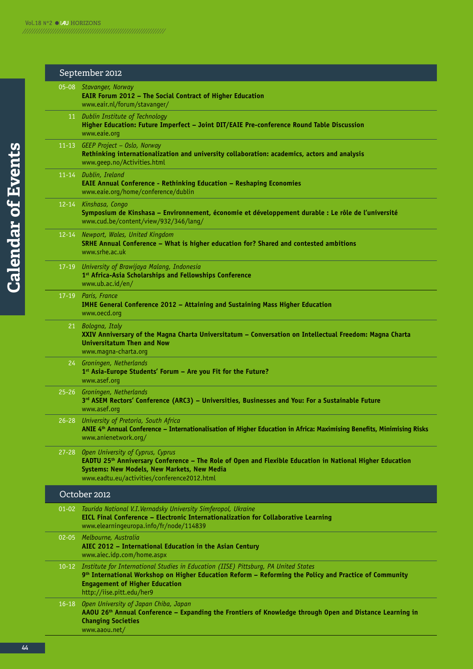|           | September 2012                                                                                                                                                                                                                                                                  |
|-----------|---------------------------------------------------------------------------------------------------------------------------------------------------------------------------------------------------------------------------------------------------------------------------------|
|           | 05-08 Stavanger, Norway<br><b>EAIR Forum 2012 - The Social Contract of Higher Education</b><br>www.eair.nl/forum/stavanger/                                                                                                                                                     |
|           | 11 Dublin Institute of Technology<br>Higher Education: Future Imperfect - Joint DIT/EAIE Pre-conference Round Table Discussion<br>www.eaie.org                                                                                                                                  |
|           | 11-13 GEEP Project - Oslo, Norway<br>Rethinking internationalization and university collaboration: academics, actors and analysis<br>www.geep.no/Activities.html                                                                                                                |
|           | 11-14 Dublin, Ireland<br><b>EAIE Annual Conference - Rethinking Education - Reshaping Economies</b><br>www.eaie.org/home/conference/dublin                                                                                                                                      |
|           | 12-14 Kinshasa, Congo<br>Symposium de Kinshasa - Environnement, économie et développement durable : Le rôle de l'université<br>www.cud.be/content/view/932/346/lang/                                                                                                            |
|           | 12-14 Newport, Wales, United Kingdom<br>SRHE Annual Conference - What is higher education for? Shared and contested ambitions<br>www.srhe.ac.uk                                                                                                                                 |
|           | 17-19 University of Brawijaya Malang, Indonesia<br>1st Africa-Asia Scholarships and Fellowships Conference<br>www.ub.ac.id/en/                                                                                                                                                  |
|           | 17-19 Paris, France<br>IMHE General Conference 2012 - Attaining and Sustaining Mass Higher Education<br>www.oecd.org                                                                                                                                                            |
|           | 21 Bologna, Italy<br>XXIV Anniversary of the Magna Charta Universitatum - Conversation on Intellectual Freedom: Magna Charta<br><b>Universitatum Then and Now</b><br>www.magna-charta.org                                                                                       |
|           | 24 Groningen, Netherlands<br>1 <sup>st</sup> Asia-Europe Students' Forum - Are you Fit for the Future?<br>www.asef.org                                                                                                                                                          |
|           | 25-26 Groningen, Netherlands<br>3 <sup>rd</sup> ASEM Rectors' Conference (ARC3) - Universities, Businesses and You: For a Sustainable Future<br>www.asef.org                                                                                                                    |
|           | 26-28 University of Pretoria, South Africa<br>ANIE 4 <sup>th</sup> Annual Conference - Internationalisation of Higher Education in Africa: Maximising Benefits, Minimising Risks<br>www.anienetwork.org/                                                                        |
| $27 - 28$ | Open University of Cyprus, Cyprus<br>EADTU 25 <sup>th</sup> Anniversary Conference - The Role of Open and Flexible Education in National Higher Education<br>Systems: New Models, New Markets, New Media<br>www.eadtu.eu/activities/conference2012.html                         |
|           | October 2012                                                                                                                                                                                                                                                                    |
|           | 01-02 Taurida National V.I. Vernadsky University Simferopol, Ukraine<br>EICL Final Conference - Electronic Internationalization for Collaborative Learning<br>www.elearningeuropa.info/fr/node/114839                                                                           |
| $02 - 05$ | Melbourne, Australia<br>AIEC 2012 - International Education in the Asian Century<br>www.aiec.idp.com/home.aspx                                                                                                                                                                  |
| $10 - 12$ | Institute for International Studies in Education (IISE) Pittsburg, PA United States<br>9 <sup>th</sup> International Workshop on Higher Education Reform - Reforming the Policy and Practice of Community<br><b>Engagement of Higher Education</b><br>http://iise.pitt.edu/her9 |
| $16 - 18$ | Open University of Japan Chiba, Japan<br>AAOU 26 <sup>th</sup> Annual Conference – Expanding the Frontiers of Knowledge through Open and Distance Learning in<br><b>Changing Societies</b><br>www.aaou.net/                                                                     |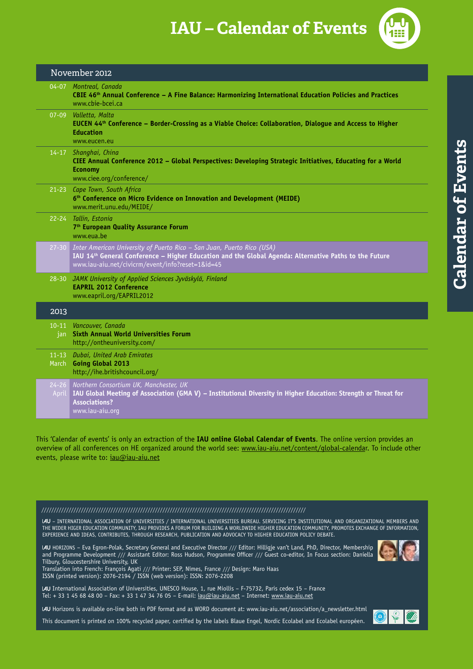**IAU – Calendar of Events** 



| November 2012 |                                                                                                                                                                                                                                     |
|---------------|-------------------------------------------------------------------------------------------------------------------------------------------------------------------------------------------------------------------------------------|
|               | 04-07 Montreal, Canada<br>CBIE 46th Annual Conference - A Fine Balance: Harmonizing International Education Policies and Practices<br>www.chie-hcei.ca                                                                              |
|               | 07-09 Valletta, Malta<br>EUCEN 44th Conference - Border-Crossing as a Viable Choice: Collaboration, Dialogue and Access to Higher<br><b>Education</b><br>www.eucen.eu                                                               |
|               | 14-17 Shanghai, China<br>CIEE Annual Conference 2012 - Global Perspectives: Developing Strategic Initiatives, Educating for a World<br><b>Economy</b><br>www.ciee.org/conference/                                                   |
|               | 21-23 Cape Town, South Africa<br>6 <sup>th</sup> Conference on Micro Evidence on Innovation and Development (MEIDE)<br>www.merit.unu.edu/MEIDE/                                                                                     |
|               | 22-24 Tallin, Estonia<br>7 <sup>th</sup> European Quality Assurance Forum<br>www.eua.be                                                                                                                                             |
| $27 - 30$     | Inter American University of Puerto Rico - San Juan, Puerto Rico (USA)<br>IAU 14th General Conference - Higher Education and the Global Agenda: Alternative Paths to the Future<br>www.iau-aiu.net/civicrm/event/info?reset=1&id=45 |
| $28 - 30$     | JAMK University of Applied Sciences Jyväskylä, Finland<br><b>EAPRIL 2012 Conference</b><br>www.eapril.org/EAPRIL2012                                                                                                                |
| 2013          |                                                                                                                                                                                                                                     |
|               | 10-11 Vancouver, Canada<br>jan Sixth Annual World Universities Forum<br>http://ontheuniversity.com/                                                                                                                                 |
|               | 11-13 Dubai, United Arab Emirates<br>March Going Global 2013<br>http://ihe.britishcouncil.org/                                                                                                                                      |
| April         | 24-26 Northern Consortium UK, Manchester, UK<br>IAU Global Meeting of Association (GMA V) – Institutional Diversity in Higher Education: Strength or Threat for<br><b>Associations?</b><br>www.iau-aiu.org                          |

This 'Calendar of events' is only an extraction of the **IAU online Global Calendar of Events**. The online version provides an overview of all conferences on hE organized around the world see: www.iau-aiu.net/content/global-calendar. To include other events, please write to: jau@jau-aju.net

### ///////////////////////////////////////////////////////////////////////////////////////////////////////////

– INTERNATIONAL ASSOCIATION OF UNIVERSITIES / INTERNATIONAL UNIVERSITIES BUREAU. SERVICING IT'S INSTITUTIONAL AND ORGANIzATIONAL MEMBERS AND ThE WIDER hIGER EDUCATION COMMUNITY, IAU PROVIDES A FORUM FOR BUILDING A WORLDWIDE hIGhER EDUCATION COMMUNITY, PROMOTES ExChANGE OF INFORMATION, ExPERIENCE AND IDEAS, CONTRIBUTES, ThROUGh RESEARCh, PUBLICATION AND ADVOCACY TO hIGhER EDUCATION POLICY DEBATE.

IAU HORIZONS - Eva Egron-Polak, Secretary General and Executive Director /// Editor: Hilligje van't Land, PhD, Director, Membership and Programme Development /// Assistant Editor: Ross hudson, Programme Officer /// Guest co-editor, In Focus section: Daniella Tilbury, Gloucestershire University, Uk

Translation into French: François Agati /// Printer: SEP, Nîmes, France /// Design: Maro haas ISSN (printed version): 2076-2194 / ISSN (web version): ISSN: 2076-2208

International Association of Universities, UNESCO house, 1, rue Miollis – F-75732, Paris cedex 15 – France Tel: + 33 1 45 68 48 00 – Fax: + 33 1 47 34 76 05 – E-mail: iau@iau-aiu.net – Internet: www.iau-aiu.net

IAU Horizons is available on-line both in PDF format and as WORD document at: www.iau-aiu.net/association/a\_newsletter.html

This document is printed on 100% recycled paper, certified by the labels Blaue Engel, Nordic Ecolabel and Ecolabel européen.